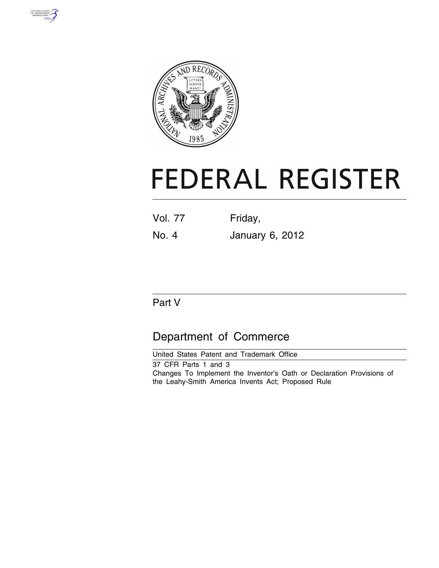



# **FEDERAL REGISTER**

| <b>Vol. 77</b> | Friday, |  |
|----------------|---------|--|
|                |         |  |

No. 4 January 6, 2012

# Part V

# Department of Commerce

United States Patent and Trademark Office 37 CFR Parts 1 and 3 Changes To Implement the Inventor's Oath or Declaration Provisions of the Leahy-Smith America Invents Act; Proposed Rule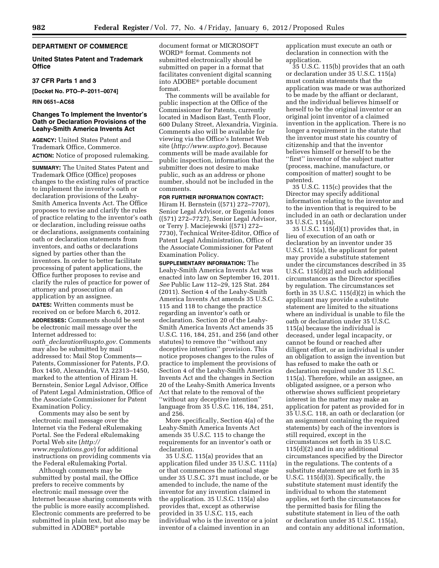#### **DEPARTMENT OF COMMERCE**

#### **United States Patent and Trademark Office**

#### **37 CFR Parts 1 and 3**

**[Docket No. PTO–P–2011–0074]** 

#### **RIN 0651–AC68**

#### **Changes To Implement the Inventor's Oath or Declaration Provisions of the Leahy-Smith America Invents Act**

**AGENCY:** United States Patent and Trademark Office, Commerce. **ACTION:** Notice of proposed rulemaking.

**SUMMARY:** The United States Patent and Trademark Office (Office) proposes changes to the existing rules of practice to implement the inventor's oath or declaration provisions of the Leahy-Smith America Invents Act. The Office proposes to revise and clarify the rules of practice relating to the inventor's oath or declaration, including reissue oaths or declarations, assignments containing oath or declaration statements from inventors, and oaths or declarations signed by parties other than the inventors. In order to better facilitate processing of patent applications, the Office further proposes to revise and clarify the rules of practice for power of attorney and prosecution of an application by an assignee.

**DATES:** Written comments must be received on or before March 6, 2012.

**ADDRESSES:** Comments should be sent be electronic mail message over the Internet addressed to: *oath*\_*[declaration@uspto.gov.](mailto:oath_declaration@uspto.gov)* Comments may also be submitted by mail addressed to: Mail Stop Comments— Patents, Commissioner for Patents, P.O. Box 1450, Alexandria, VA 22313–1450, marked to the attention of Hiram H. Bernstein, Senior Legal Advisor, Office of Patent Legal Administration, Office of the Associate Commissioner for Patent Examination Policy.

Comments may also be sent by electronic mail message over the Internet via the Federal eRulemaking Portal. See the Federal eRulemaking Portal Web site (*[http://](http://www.regulations.gov) [www.regulations.gov](http://www.regulations.gov)*) for additional instructions on providing comments via the Federal eRulemaking Portal.

Although comments may be submitted by postal mail, the Office prefers to receive comments by electronic mail message over the Internet because sharing comments with the public is more easily accomplished. Electronic comments are preferred to be submitted in plain text, but also may be submitted in ADOBE® portable

document format or MICROSOFT WORD® format. Comments not submitted electronically should be submitted on paper in a format that facilitates convenient digital scanning into ADOBE® portable document format.

The comments will be available for public inspection at the Office of the Commissioner for Patents, currently located in Madison East, Tenth Floor, 600 Dulany Street, Alexandria, Virginia. Comments also will be available for viewing via the Office's Internet Web site (*<http://www.uspto.gov>*). Because comments will be made available for public inspection, information that the submitter does not desire to make public, such as an address or phone number, should not be included in the comments.

**FOR FURTHER INFORMATION CONTACT:**  Hiram H. Bernstein ((571) 272–7707), Senior Legal Advisor, or Eugenia Jones ((571) 272–7727), Senior Legal Advisor, or Terry J. Maciejewski ((571) 272– 7730), Technical Writer-Editor, Office of Patent Legal Administration, Office of the Associate Commissioner for Patent Examination Policy.

**SUPPLEMENTARY INFORMATION:** The Leahy-Smith America Invents Act was enacted into law on September 16, 2011. *See* Public Law 112–29, 125 Stat. 284 (2011). Section 4 of the Leahy-Smith America Invents Act amends 35 U.S.C. 115 and 118 to change the practice regarding an inventor's oath or declaration. Section 20 of the Leahy-Smith America Invents Act amends 35 U.S.C. 116, 184, 251, and 256 (and other statutes) to remove the ''without any deceptive intention'' provision. This notice proposes changes to the rules of practice to implement the provisions of Section 4 of the Leahy-Smith America Invents Act and the changes in Section 20 of the Leahy-Smith America Invents Act that relate to the removal of the ''without any deceptive intention'' language from 35 U.S.C. 116, 184, 251, and 256.

More specifically, Section 4(a) of the Leahy-Smith America Invents Act amends 35 U.S.C. 115 to change the requirements for an inventor's oath or declaration.

35 U.S.C. 115(a) provides that an application filed under 35 U.S.C. 111(a) or that commences the national stage under 35 U.S.C. 371 must include, or be amended to include, the name of the inventor for any invention claimed in the application. 35 U.S.C. 115(a) also provides that, except as otherwise provided in 35 U.S.C. 115, each individual who is the inventor or a joint inventor of a claimed invention in an

application must execute an oath or declaration in connection with the application.

35 U.S.C. 115(b) provides that an oath or declaration under 35 U.S.C. 115(a) must contain statements that the application was made or was authorized to be made by the affiant or declarant, and the individual believes himself or herself to be the original inventor or an original joint inventor of a claimed invention in the application. There is no longer a requirement in the statute that the inventor must state his country of citizenship and that the inventor believes himself or herself to be the ''first'' inventor of the subject matter (process, machine, manufacture, or composition of matter) sought to be patented.

35 U.S.C. 115(c) provides that the Director may specify additional information relating to the inventor and to the invention that is required to be included in an oath or declaration under 35 U.S.C. 115(a).

35 U.S.C. 115(d)(1) provides that, in lieu of execution of an oath or declaration by an inventor under 35 U.S.C. 115(a), the applicant for patent may provide a substitute statement under the circumstances described in 35 U.S.C. 115(d)(2) and such additional circumstances as the Director specifies by regulation. The circumstances set forth in 35 U.S.C.  $115(d)(2)$  in which the applicant may provide a substitute statement are limited to the situations where an individual is unable to file the oath or declaration under 35 U.S.C. 115(a) because the individual is deceased, under legal incapacity, or cannot be found or reached after diligent effort, or an individual is under an obligation to assign the invention but has refused to make the oath or declaration required under 35 U.S.C. 115(a). Therefore, while an assignee, an obligated assignee, or a person who otherwise shows sufficient proprietary interest in the matter may make an application for patent as provided for in 35 U.S.C. 118, an oath or declaration (or an assignment containing the required statements) by each of the inventors is still required, except in the circumstances set forth in 35 U.S.C. 115(d)(2) and in any additional circumstances specified by the Director in the regulations. The contents of a substitute statement are set forth in 35 U.S.C. 115(d)(3). Specifically, the substitute statement must identify the individual to whom the statement applies, set forth the circumstances for the permitted basis for filing the substitute statement in lieu of the oath or declaration under 35 U.S.C. 115(a), and contain any additional information,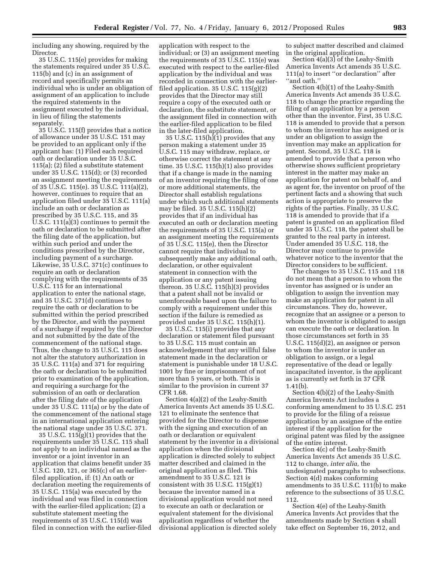including any showing, required by the Director.

35 U.S.C. 115(e) provides for making the statements required under 35 U.S.C. 115(b) and (c) in an assignment of record and specifically permits an individual who is under an obligation of assignment of an application to include the required statements in the assignment executed by the individual, in lieu of filing the statements separately.

35 U.S.C. 115(f) provides that a notice of allowance under 35 U.S.C. 151 may be provided to an applicant only if the applicant has: (1) Filed each required oath or declaration under 35 U.S.C. 115(a); (2) filed a substitute statement under 35 U.S.C. 115(d); or (3) recorded an assignment meeting the requirements of 35 U.S.C. 115(e). 35 U.S.C. 111(a)(2), however, continues to require that an application filed under 35 U.S.C. 111(a) include an oath or declaration as prescribed by 35 U.S.C. 115, and 35 U.S.C. 111(a)(3) continues to permit the oath or declaration to be submitted after the filing date of the application, but within such period and under the conditions prescribed by the Director, including payment of a surcharge. Likewise, 35 U.S.C. 371(c) continues to require an oath or declaration complying with the requirements of 35 U.S.C. 115 for an international application to enter the national stage, and 35 U.S.C. 371(d) continues to require the oath or declaration to be submitted within the period prescribed by the Director, and with the payment of a surcharge if required by the Director and not submitted by the date of the commencement of the national stage. Thus, the change to 35 U.S.C. 115 does not alter the statutory authorization in 35 U.S.C. 111(a) and 371 for requiring the oath or declaration to be submitted prior to examination of the application, and requiring a surcharge for the submission of an oath or declaration after the filing date of the application under 35 U.S.C. 111(a) or by the date of the commencement of the national stage in an international application entering the national stage under 35 U.S.C. 371.

35 U.S.C. 115(g)(1) provides that the requirements under 35 U.S.C. 115 shall not apply to an individual named as the inventor or a joint inventor in an application that claims benefit under 35 U.S.C. 120, 121, or 365(c) of an earlierfiled application, if: (1) An oath or declaration meeting the requirements of 35 U.S.C. 115(a) was executed by the individual and was filed in connection with the earlier-filed application; (2) a substitute statement meeting the requirements of 35 U.S.C. 115(d) was filed in connection with the earlier-filed application with respect to the individual; or (3) an assignment meeting the requirements of 35 U.S.C. 115(e) was executed with respect to the earlier-filed application by the individual and was recorded in connection with the earlierfiled application.  $35 \text{ U.S.C. } 115(g)(2)$ provides that the Director may still require a copy of the executed oath or declaration, the substitute statement, or the assignment filed in connection with the earlier-filed application to be filed in the later-filed application.

35 U.S.C.  $115(h)(1)$  provides that any person making a statement under 35 U.S.C. 115 may withdraw, replace, or otherwise correct the statement at any time. 35 U.S.C. 115(h)(1) also provides that if a change is made in the naming of an inventor requiring the filing of one or more additional statements, the Director shall establish regulations under which such additional statements may be filed. 35 U.S.C. 115(h)(2) provides that if an individual has executed an oath or declaration meeting the requirements of 35 U.S.C. 115(a) or an assignment meeting the requirements of 35 U.S.C. 115(e), then the Director cannot require that individual to subsequently make any additional oath, declaration, or other equivalent statement in connection with the application or any patent issuing thereon. 35 U.S.C. 115(h)(3) provides that a patent shall not be invalid or unenforceable based upon the failure to comply with a requirement under this section if the failure is remedied as provided under 35 U.S.C. 115(h)(1).

35 U.S.C. 115(i) provides that any declaration or statement filed pursuant to 35 U.S.C. 115 must contain an acknowledgement that any willful false statement made in the declaration or statement is punishable under 18 U.S.C. 1001 by fine or imprisonment of not more than 5 years, or both. This is similar to the provision in current 37 CFR 1.68.

Section 4(a)(2) of the Leahy-Smith America Invents Act amends 35 U.S.C. 121 to eliminate the sentence that provided for the Director to dispense with the signing and execution of an oath or declaration or equivalent statement by the inventor in a divisional application when the divisional application is directed solely to subject matter described and claimed in the original application as filed. This amendment to 35 U.S.C. 121 is consistent with  $35 \text{ U.S.C. } 115(g)(1)$ because the inventor named in a divisional application would not need to execute an oath or declaration or equivalent statement for the divisional application regardless of whether the divisional application is directed solely

to subject matter described and claimed in the original application.

Section 4(a)(3) of the Leahy-Smith America Invents Act amends 35 U.S.C. 111(a) to insert ''or declaration'' after ''and oath.''

Section 4(b)(1) of the Leahy-Smith America Invents Act amends 35 U.S.C. 118 to change the practice regarding the filing of an application by a person other than the inventor. First, 35 U.S.C. 118 is amended to provide that a person to whom the inventor has assigned or is under an obligation to assign the invention may make an application for patent. Second, 35 U.S.C. 118 is amended to provide that a person who otherwise shows sufficient proprietary interest in the matter may make an application for patent on behalf of, and as agent for, the inventor on proof of the pertinent facts and a showing that such action is appropriate to preserve the rights of the parties. Finally, 35 U.S.C. 118 is amended to provide that if a patent is granted on an application filed under 35 U.S.C. 118, the patent shall be granted to the real party in interest. Under amended 35 U.S.C. 118, the Director may continue to provide whatever notice to the inventor that the Director considers to be sufficient.

The changes to 35 U.S.C. 115 and 118 do not mean that a person to whom the inventor has assigned or is under an obligation to assign the invention may make an application for patent in all circumstances. They do, however, recognize that an assignee or a person to whom the inventor is obligated to assign can execute the oath or declaration. In those circumstances set forth in 35 U.S.C. 115(d)(2), an assignee or person to whom the inventor is under an obligation to assign, or a legal representative of the dead or legally incapacitated inventor, is the applicant as is currently set forth in 37 CFR 1.41(b).

Section 4(b)(2) of the Leahy-Smith America Invents Act includes a conforming amendment to 35 U.S.C. 251 to provide for the filing of a reissue application by an assignee of the entire interest if the application for the original patent was filed by the assignee of the entire interest.

Section 4(c) of the Leahy-Smith America Invents Act amends 35 U.S.C. 112 to change, *inter alia,* the undesignated paragraphs to subsections. Section 4(d) makes conforming amendments to 35 U.S.C. 111(b) to make reference to the subsections of 35 U.S.C. 112.

Section 4(e) of the Leahy-Smith America Invents Act provides that the amendments made by Section 4 shall take effect on September 16, 2012, and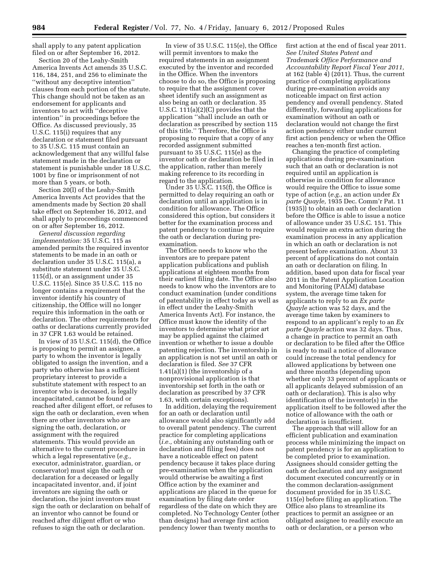shall apply to any patent application filed on or after September 16, 2012.

Section 20 of the Leahy-Smith America Invents Act amends 35 U.S.C. 116, 184, 251, and 256 to eliminate the ''without any deceptive intention'' clauses from each portion of the statute. This change should not be taken as an endorsement for applicants and inventors to act with ''deceptive intention'' in proceedings before the Office. As discussed previously, 35 U.S.C. 115(i) requires that any declaration or statement filed pursuant to 35 U.S.C. 115 must contain an acknowledgement that any willful false statement made in the declaration or statement is punishable under 18 U.S.C. 1001 by fine or imprisonment of not more than 5 years, or both.

Section 20(l) of the Leahy-Smith America Invents Act provides that the amendments made by Section 20 shall take effect on September 16, 2012, and shall apply to proceedings commenced on or after September 16, 2012.

*General discussion regarding implementation:* 35 U.S.C. 115 as amended permits the required inventor statements to be made in an oath or declaration under 35 U.S.C. 115(a), a substitute statement under 35 U.S.C. 115(d), or an assignment under 35 U.S.C. 115(e). Since 35 U.S.C. 115 no longer contains a requirement that the inventor identify his country of citizenship, the Office will no longer require this information in the oath or declaration. The other requirements for oaths or declarations currently provided in 37 CFR 1.63 would be retained.

In view of 35 U.S.C. 115(d), the Office is proposing to permit an assignee, a party to whom the inventor is legally obligated to assign the invention, and a party who otherwise has a sufficient proprietary interest to provide a substitute statement with respect to an inventor who is deceased, is legally incapacitated, cannot be found or reached after diligent effort, or refuses to sign the oath or declaration, even when there are other inventors who are signing the oath, declaration, or assignment with the required statements. This would provide an alternative to the current procedure in which a legal representative (*e.g.,*  executor, administrator, guardian, or conservator) must sign the oath or declaration for a deceased or legally incapacitated inventor, and, if joint inventors are signing the oath or declaration, the joint inventors must sign the oath or declaration on behalf of an inventor who cannot be found or reached after diligent effort or who refuses to sign the oath or declaration.

In view of 35 U.S.C. 115(e), the Office will permit inventors to make the required statements in an assignment executed by the inventor and recorded in the Office. When the inventors choose to do so, the Office is proposing to require that the assignment cover sheet identify such an assignment as also being an oath or declaration. 35 U.S.C. 111(a)(2)(C) provides that the application ''shall include an oath or declaration as prescribed by section 115 of this title.'' Therefore, the Office is proposing to require that a copy of any recorded assignment submitted pursuant to 35 U.S.C. 115(e) as the inventor oath or declaration be filed in the application, rather than merely making reference to its recording in regard to the application.

Under 35 U.S.C. 115(f), the Office is permitted to delay requiring an oath or declaration until an application is in condition for allowance. The Office considered this option, but considers it better for the examination process and patent pendency to continue to require the oath or declaration during preexamination.

The Office needs to know who the inventors are to prepare patent application publications and publish applications at eighteen months from their earliest filing date. The Office also needs to know who the inventors are to conduct examination (under conditions of patentability in effect today as well as in effect under the Leahy-Smith America Invents Act). For instance, the Office must know the identity of the inventors to determine what prior art may be applied against the claimed invention or whether to issue a double patenting rejection. The inventorship in an application is not set until an oath or declaration is filed. *See* 37 CFR 1.41(a)(1) (the inventorship of a nonprovisional application is that inventorship set forth in the oath or declaration as prescribed by 37 CFR 1.63, with certain exceptions).

In addition, delaying the requirement for an oath or declaration until allowance would also significantly add to overall patent pendency. The current practice for completing applications (*i.e.,* obtaining any outstanding oath or declaration and filing fees) does not have a noticeable effect on patent pendency because it takes place during pre-examination when the application would otherwise be awaiting a first Office action by the examiner and applications are placed in the queue for examination by filing date order regardless of the date on which they are completed. No Technology Center (other than designs) had average first action pendency lower than twenty months to

first action at the end of fiscal year 2011. *See United States Patent and Trademark Office Performance and Accountability Report Fiscal Year 2011,*  at 162 (table  $\overline{4}$ ) (2011). Thus, the current practice of completing applications during pre-examination avoids any noticeable impact on first action pendency and overall pendency. Stated differently, forwarding applications for examination without an oath or declaration would not change the first action pendency either under current first action pendency or when the Office reaches a ten-month first action.

Changing the practice of completing applications during pre-examination such that an oath or declaration is not required until an application is otherwise in condition for allowance would require the Office to issue some type of action (*e.g.,* an action under *Ex parte Quayle,* 1935 Dec. Comm'r Pat. 11 (1935)) to obtain an oath or declaration before the Office is able to issue a notice of allowance under 35 U.S.C. 151. This would require an extra action during the examination process in any application in which an oath or declaration is not present before examination. About 33 percent of applications do not contain an oath or declaration on filing. In addition, based upon data for fiscal year 2011 in the Patent Application Location and Monitoring (PALM) database system, the average time taken for applicants to reply to an *Ex parte Quayle* action was 52 days, and the average time taken by examiners to respond to an applicant's reply to an *Ex parte Quayle* action was 32 days. Thus, a change in practice to permit an oath or declaration to be filed after the Office is ready to mail a notice of allowance could increase the total pendency for allowed applications by between one and three months (depending upon whether only 33 percent of applicants or all applicants delayed submission of an oath or declaration). This is also why identification of the inventor(s) in the application itself to be followed after the notice of allowance with the oath or declaration is insufficient.

The approach that will allow for an efficient publication and examination process while minimizing the impact on patent pendency is for an application to be completed prior to examination. Assignees should consider getting the oath or declaration and any assignment document executed concurrently or in the common declaration-assignment document provided for in 35 U.S.C. 115(e) before filing an application. The Office also plans to streamline its practices to permit an assignee or an obligated assignee to readily execute an oath or declaration, or a person who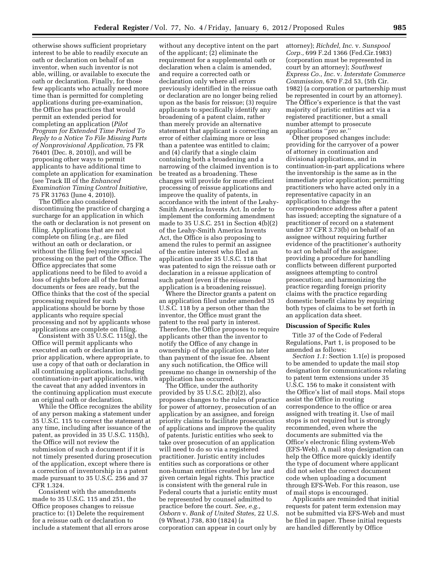otherwise shows sufficient proprietary interest to be able to readily execute an oath or declaration on behalf of an inventor, when such inventor is not able, willing, or available to execute the oath or declaration. Finally, for those few applicants who actually need more time than is permitted for completing applications during pre-examination, the Office has practices that would permit an extended period for completing an application (*Pilot Program for Extended Time Period To Reply to a Notice To File Missing Parts of Nonprovisional Application,* 75 FR 76401 (Dec. 8, 2010)), and will be proposing other ways to permit applicants to have additional time to complete an application for examination (see Track III of the *Enhanced Examination Timing Control Initiative,*  75 FR 31763 (June 4, 2010)).

The Office also considered discontinuing the practice of charging a surcharge for an application in which the oath or declaration is not present on filing. Applications that are not complete on filing (*e.g.,* are filed without an oath or declaration, or without the filing fee) require special processing on the part of the Office. The Office appreciates that some applications need to be filed to avoid a loss of rights before all of the formal documents or fees are ready, but the Office thinks that the cost of the special processing required for such applications should be borne by those applicants who require special processing and not by applicants whose applications are complete on filing.

Consistent with 35 U.S.C. 115(g), the Office will permit applicants who executed an oath or declaration in a prior application, where appropriate, to use a copy of that oath or declaration in all continuing applications, including continuation-in-part applications, with the caveat that any added inventors in the continuing application must execute an original oath or declaration.

While the Office recognizes the ability of any person making a statement under 35 U.S.C. 115 to correct the statement at any time, including after issuance of the patent, as provided in 35 U.S.C. 115(h), the Office will not review the submission of such a document if it is not timely presented during prosecution of the application, except where there is a correction of inventorship in a patent made pursuant to 35 U.S.C. 256 and 37 CFR 1.324.

Consistent with the amendments made to 35 U.S.C. 115 and 251, the Office proposes changes to reissue practice to: (1) Delete the requirement for a reissue oath or declaration to include a statement that all errors arose

without any deceptive intent on the part of the applicant; (2) eliminate the requirement for a supplemental oath or declaration when a claim is amended, and require a corrected oath or declaration only where all errors previously identified in the reissue oath or declaration are no longer being relied upon as the basis for reissue; (3) require applicants to specifically identify any broadening of a patent claim, rather than merely provide an alternative statement that applicant is correcting an error of either claiming more or less than a patentee was entitled to claim; and (4) clarify that a single claim containing both a broadening and a narrowing of the claimed invention is to be treated as a broadening. These changes will provide for more efficient processing of reissue applications and improve the quality of patents, in accordance with the intent of the Leahy-Smith America Invents Act. In order to implement the conforming amendment made to 35 U.S.C. 251 in Section 4(b)(2) of the Leahy-Smith America Invents Act, the Office is also proposing to amend the rules to permit an assignee of the entire interest who filed an application under 35 U.S.C. 118 that was patented to sign the reissue oath or declaration in a reissue application of such patent (even if the reissue application is a broadening reissue).

Where the Director grants a patent on an application filed under amended 35 U.S.C. 118 by a person other than the inventor, the Office must grant the patent to the real party in interest. Therefore, the Office proposes to require applicants other than the inventor to notify the Office of any change in ownership of the application no later than payment of the issue fee. Absent any such notification, the Office will presume no change in ownership of the application has occurred.

The Office, under the authority provided by 35 U.S.C. 2(b)(2), also proposes changes to the rules of practice for power of attorney, prosecution of an application by an assignee, and foreign priority claims to facilitate prosecution of applications and improve the quality of patents. Juristic entities who seek to take over prosecution of an application will need to do so via a registered practitioner. Juristic entity includes entities such as corporations or other non-human entities created by law and given certain legal rights. This practice is consistent with the general rule in Federal courts that a juristic entity must be represented by counsel admitted to practice before the court. *See, e.g., Osborn* v. *Bank of United States,* 22 U.S. (9 Wheat.) 738, 830 (1824) (a corporation can appear in court only by

attorney); *Richdel, Inc.* v. *Sunspool Corp.,* 699 F.2d 1366 (Fed.Cir.1983) (corporation must be represented in court by an attorney); *Southwest Express Co., Inc.* v. *Interstate Commerce Commission,* 670 F.2d 53, (5th Cir. 1982) (a corporation or partnership must be represented in court by an attorney). The Office's experience is that the vast majority of juristic entities act via a registered practitioner, but a small number attempt to prosecute applications ''*pro se*.''

Other proposed changes include: providing for the carryover of a power of attorney in continuation and divisional applications, and in continuation-in-part applications where the inventorship is the same as in the immediate prior application; permitting practitioners who have acted only in a representative capacity in an application to change the correspondence address after a patent has issued; accepting the signature of a practitioner of record on a statement under 37 CFR 3.73(b) on behalf of an assignee without requiring further evidence of the practitioner's authority to act on behalf of the assignee; providing a procedure for handling conflicts between different purported assignees attempting to control prosecution; and harmonizing the practice regarding foreign priority claims with the practice regarding domestic benefit claims by requiring both types of claims to be set forth in an application data sheet.

#### **Discussion of Specific Rules**

Title 37 of the Code of Federal Regulations, Part 1, is proposed to be amended as follows:

*Section 1.1:* Section 1.1(e) is proposed to be amended to update the mail stop designation for communications relating to patent term extensions under 35 U.S.C. 156 to make it consistent with the Office's list of mail stops. Mail stops assist the Office in routing correspondence to the office or area assigned with treating it. Use of mail stops is not required but is strongly recommended, even where the documents are submitted via the Office's electronic filing system-Web (EFS-Web). A mail stop designation can help the Office more quickly identify the type of document where applicant did not select the correct document code when uploading a document through EFS-Web. For this reason, use of mail stops is encouraged.

Applicants are reminded that initial requests for patent term extension may not be submitted via EFS-Web and must be filed in paper. These initial requests are handled differently by Office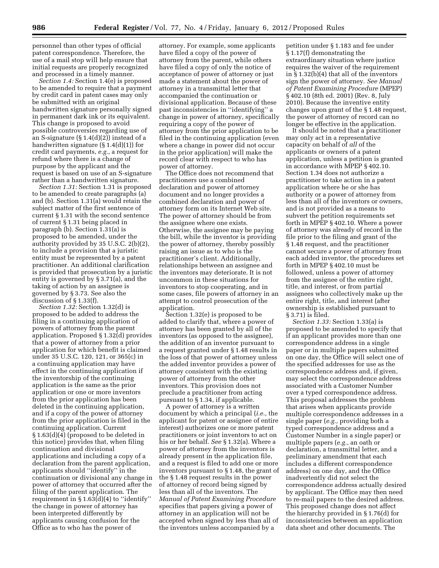personnel than other types of official patent correspondence. Therefore, the use of a mail stop will help ensure that initial requests are properly recognized and processed in a timely manner.

*Section 1.4:* Section 1.4(e) is proposed to be amended to require that a payment by credit card in patent cases may only be submitted with an original handwritten signature personally signed in permanent dark ink or its equivalent. This change is proposed to avoid possible controversies regarding use of an S-signature (§ 1.4(d)(2)) instead of a handwritten signature (§ 1.4(d)(1)) for credit card payments, *e.g.,* a request for refund where there is a change of purpose by the applicant and the request is based on use of an S-signature rather than a handwritten signature.

*Section 1.31:* Section 1.31 is proposed to be amended to create paragraphs (a) and (b). Section 1.31(a) would retain the subject matter of the first sentence of current § 1.31 with the second sentence of current § 1.31 being placed in paragraph (b). Section 1.31(a) is proposed to be amended, under the authority provided by 35 U.S.C. 2(b)(2), to include a provision that a juristic entity must be represented by a patent practitioner. An additional clarification is provided that prosecution by a juristic entity is governed by § 3.71(a), and the taking of action by an assignee is governed by § 3.73. See also the discussion of § 1.33(f).

*Section 1.32:* Section 1.32(d) is proposed to be added to address the filing in a continuing application of powers of attorney from the parent application. Proposed § 1.32(d) provides that a power of attorney from a prior application for which benefit is claimed under 35 U.S.C. 120, 121, or 365(c) in a continuing application may have effect in the continuing application if the inventorship of the continuing application is the same as the prior application or one or more inventors from the prior application has been deleted in the continuing application, and if a copy of the power of attorney from the prior application is filed in the continuing application. Current § 1.63(d)(4) (proposed to be deleted in this notice) provides that, when filing continuation and divisional applications and including a copy of a declaration from the parent application, applicants should ''identify'' in the continuation or divisional any change in power of attorney that occurred after the filing of the parent application. The requirement in  $\S 1.63(d)(4)$  to "identify" the change in power of attorney has been interpreted differently by applicants causing confusion for the Office as to who has the power of

attorney. For example, some applicants have filed a copy of the power of attorney from the parent, while others have filed a copy of only the notice of acceptance of power of attorney or just made a statement about the power of attorney in a transmittal letter that accompanied the continuation or divisional application. Because of these past inconsistencies in ''identifying'' a change in power of attorney, specifically requiring a copy of the power of attorney from the prior application to be filed in the continuing application (even where a change in power did not occur in the prior application) will make the record clear with respect to who has power of attorney.

The Office does not recommend that practitioners use a combined declaration and power of attorney document and no longer provides a combined declaration and power of attorney form on its Internet Web site. The power of attorney should be from the assignee where one exists. Otherwise, the assignee may be paying the bill, while the inventor is providing the power of attorney, thereby possibly raising an issue as to who is the practitioner's client. Additionally, relationships between an assignee and the inventors may deteriorate. It is not uncommon in these situations for inventors to stop cooperating, and in some cases, file powers of attorney in an attempt to control prosecution of the application.

Section 1.32(e) is proposed to be added to clarify that, where a power of attorney has been granted by all of the inventors (as opposed to the assignee), the addition of an inventor pursuant to a request granted under § 1.48 results in the loss of that power of attorney unless the added inventor provides a power of attorney consistent with the existing power of attorney from the other inventors. This provision does not preclude a practitioner from acting pursuant to § 1.34, if applicable.

A power of attorney is a written document by which a principal (*i.e.,* the applicant for patent or assignee of entire interest) authorizes one or more patent practitioners or joint inventors to act on his or her behalf. *See* § 1.32(a). Where a power of attorney from the inventors is already present in the application file, and a request is filed to add one or more inventors pursuant to § 1.48, the grant of the § 1.48 request results in the power of attorney of record being signed by less than all of the inventors. The *Manual of Patent Examining Procedure*  specifies that papers giving a power of attorney in an application will not be accepted when signed by less than all of the inventors unless accompanied by a

petition under § 1.183 and fee under § 1.17(f) demonstrating the extraordinary situation where justice requires the waiver of the requirement in § 1.32(b)(4) that all of the inventors sign the power of attorney. *See Manual of Patent Examining Procedure* (MPEP) § 402.10 (8th ed. 2001) (Rev. 8, July 2010). Because the inventive entity changes upon grant of the § 1.48 request, the power of attorney of record can no longer be effective in the application.

It should be noted that a practitioner may only act in a representative capacity on behalf of *all* of the applicants or owners of a patent application, unless a petition is granted in accordance with MPEP § 402.10. Section 1.34 does not authorize a practitioner to take action in a patent application where he or she has authority or a power of attorney from less than all of the inventors or owners, and is not provided as a means to subvert the petition requirements set forth in MPEP § 402.10. Where a power of attorney was already of record in the file prior to the filing and grant of the § 1.48 request, and the practitioner cannot secure a power of attorney from each added inventor, the procedures set forth in MPEP § 402.10 must be followed, unless a power of attorney from the assignee of the entire right, title, and interest, or from partial assignees who collectively make up the entire right, title, and interest (after ownership is established pursuant to § 3.71) is filed.

*Section 1.33:* Section 1.33(a) is proposed to be amended to specify that if an applicant provides more than one correspondence address in a single paper or in multiple papers submitted on one day, the Office will select one of the specified addresses for use as the correspondence address and, if given, may select the correspondence address associated with a Customer Number over a typed correspondence address. This proposal addresses the problem that arises when applicants provide multiple correspondence addresses in a single paper (*e.g.,* providing both a typed correspondence address and a Customer Number in a single paper) or multiple papers (*e.g.,* an oath or declaration, a transmittal letter, and a preliminary amendment that each includes a different correspondence address) on one day, and the Office inadvertently did not select the correspondence address actually desired by applicant. The Office may then need to re-mail papers to the desired address. This proposed change does not affect the hierarchy provided in § 1.76(d) for inconsistencies between an application data sheet and other documents. The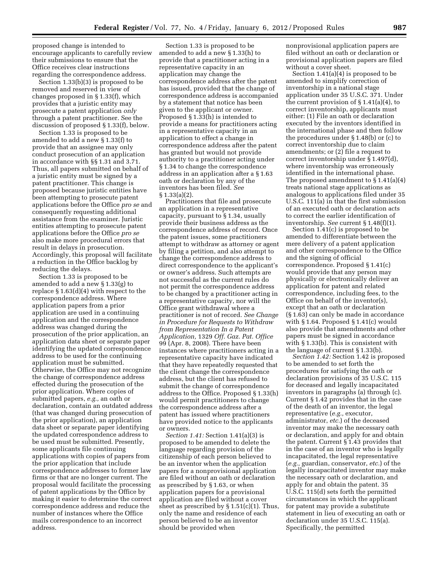proposed change is intended to encourage applicants to carefully review their submissions to ensure that the Office receives clear instructions regarding the correspondence address.

Section 1.33(b)(3) is proposed to be removed and reserved in view of changes proposed in § 1.33(f), which provides that a juristic entity may prosecute a patent application *only*  through a patent practitioner. See the discussion of proposed § 1.33(f), below.

Section 1.33 is proposed to be amended to add a new § 1.33(f) to provide that an assignee may only conduct prosecution of an application in accordance with §§ 1.31 and 3.71. Thus, all papers submitted on behalf of a juristic entity must be signed by a patent practitioner. This change is proposed because juristic entities have been attempting to prosecute patent applications before the Office *pro se* and consequently requesting additional assistance from the examiner. Juristic entities attempting to prosecute patent applications before the Office *pro se*  also make more procedural errors that result in delays in prosecution. Accordingly, this proposal will facilitate a reduction in the Office backlog by reducing the delays.

Section 1.33 is proposed to be amended to add a new § 1.33(g) to replace  $\S 1.63(d)(4)$  with respect to the correspondence address. Where application papers from a prior application are used in a continuing application and the correspondence address was changed during the prosecution of the prior application, an application data sheet or separate paper identifying the updated correspondence address to be used for the continuing application must be submitted. Otherwise, the Office may not recognize the change of correspondence address effected during the prosecution of the prior application. Where copies of submitted papers, *e.g.,* an oath or declaration, contain an outdated address (that was changed during prosecution of the prior application), an application data sheet or separate paper identifying the updated correspondence address to be used must be submitted. Presently, some applicants file continuing applications with copies of papers from the prior application that include correspondence addresses to former law firms or that are no longer current. The proposal would facilitate the processing of patent applications by the Office by making it easier to determine the correct correspondence address and reduce the number of instances where the Office mails correspondence to an incorrect address.

Section 1.33 is proposed to be amended to add a new § 1.33(h) to provide that a practitioner acting in a representative capacity in an application may change the correspondence address after the patent has issued, provided that the change of correspondence address is accompanied by a statement that notice has been given to the applicant or owner. Proposed § 1.33(h) is intended to provide a means for practitioners acting in a representative capacity in an application to effect a change in correspondence address after the patent has granted but would not provide authority to a practitioner acting under § 1.34 to change the correspondence address in an application after a § 1.63 oath or declaration by any of the inventors has been filed. *See*  § 1.33(a)(2).

Practitioners that file and prosecute an application in a representative capacity, pursuant to § 1.34, usually provide their business address as the correspondence address of record. Once the patent issues, some practitioners attempt to withdraw as attorney or agent by filing a petition, and also attempt to change the correspondence address to direct correspondence to the applicant's or owner's address. Such attempts are not successful as the current rules do not permit the correspondence address to be changed by a practitioner acting in a representative capacity, nor will the Office grant withdrawal where a practitioner is not of record. *See Change in Procedure for Requests to Withdraw from Representation In a Patent Application,* 1329 *Off. Gaz. Pat. Office*  99 (Apr. 8, 2008). There have been instances where practitioners acting in a representative capacity have indicated that they have repeatedly requested that the client change the correspondence address, but the client has refused to submit the change of correspondence address to the Office. Proposed § 1.33(h) would permit practitioners to change the correspondence address after a patent has issued where practitioners have provided notice to the applicants or owners.

*Section 1.41:* Section 1.41(a)(3) is proposed to be amended to delete the language regarding provision of the citizenship of each person believed to be an inventor when the application papers for a nonprovisional application are filed without an oath or declaration as prescribed by § 1.63, or when application papers for a provisional application are filed without a cover sheet as prescribed by  $\S 1.51(c)(1)$ . Thus, only the name and residence of each person believed to be an inventor should be provided when

nonprovisional application papers are filed without an oath or declaration or provisional application papers are filed without a cover sheet.

Section 1.41(a)(4) is proposed to be amended to simplify correction of inventorship in a national stage application under 35 U.S.C. 371. Under the current provision of  $\S 1.41(a)(4)$ , to correct inventorship, applicants must either: (1) File an oath or declaration executed by the inventors identified in the international phase and then follow the procedures under § 1.48(b) or (c) to correct inventorship due to claim amendments; or (2) file a request to correct inventorship under § 1.497(d), where inventorship was erroneously identified in the international phase. The proposed amendment to  $\S 1.41(a)(4)$ treats national stage applications as analogous to applications filed under 35 U.S.C. 111(a) in that the first submission of an executed oath or declaration acts to correct the earlier identification of inventorship. *See* current § 1.48(f)(1).

Section 1.41(c) is proposed to be amended to differentiate between the mere delivery of a patent application and other correspondence to the Office and the signing of official correspondence. Proposed § 1.41(c) would provide that any person may physically or electronically deliver an application for patent and related correspondence, including fees, to the Office on behalf of the inventor(s), except that an oath or declaration (§ 1.63) can only be made in accordance with § 1.64. Proposed § 1.41(c) would also provide that amendments and other papers must be signed in accordance with § 1.33(b). This is consistent with the language of current § 1.33(b).

*Section 1.42:* Section 1.42 is proposed to be amended to set forth the procedures for satisfying the oath or declaration provisions of 35 U.S.C. 115 for deceased and legally incapacitated inventors in paragraphs (a) through (c). Current § 1.42 provides that in the case of the death of an inventor, the legal representative (*e.g.,* executor, administrator, *etc.*) of the deceased inventor may make the necessary oath or declaration, and apply for and obtain the patent. Current § 1.43 provides that in the case of an inventor who is legally incapacitated, the legal representative (*e.g.,* guardian, conservator, *etc.*) of the legally incapacitated inventor may make the necessary oath or declaration, and apply for and obtain the patent. 35 U.S.C. 115(d) sets forth the permitted circumstances in which the applicant for patent may provide a substitute statement in lieu of executing an oath or declaration under 35 U.S.C. 115(a). Specifically, the permitted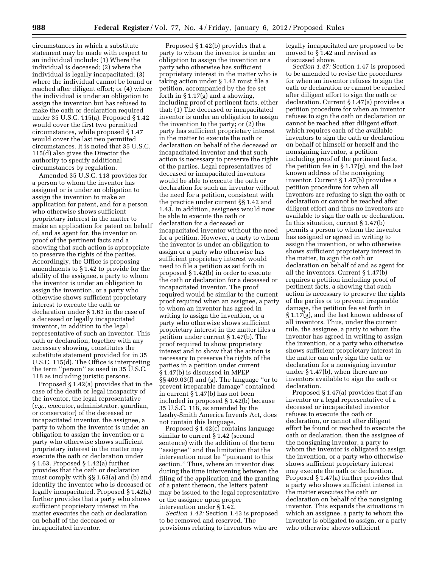circumstances in which a substitute statement may be made with respect to an individual include: (1) Where the individual is deceased; (2) where the individual is legally incapacitated; (3) where the individual cannot be found or reached after diligent effort; or (4) where the individual is under an obligation to assign the invention but has refused to make the oath or declaration required under 35 U.S.C. 115(a). Proposed § 1.42 would cover the first two permitted circumstances, while proposed § 1.47 would cover the last two permitted circumstances. It is noted that 35 U.S.C. 115(d) also gives the Director the authority to specify additional circumstances by regulation.

Amended 35 U.S.C. 118 provides for a person to whom the inventor has assigned or is under an obligation to assign the invention to make an application for patent, and for a person who otherwise shows sufficient proprietary interest in the matter to make an application for patent on behalf of, and as agent for, the inventor on proof of the pertinent facts and a showing that such action is appropriate to preserve the rights of the parties. Accordingly, the Office is proposing amendments to § 1.42 to provide for the ability of the assignee, a party to whom the inventor is under an obligation to assign the invention, or a party who otherwise shows sufficient proprietary interest to execute the oath or declaration under § 1.63 in the case of a deceased or legally incapacitated inventor, in addition to the legal representative of such an inventor. This oath or declaration, together with any necessary showing, constitutes the substitute statement provided for in 35 U.S.C. 115(d). The Office is interpreting the term ''person'' as used in 35 U.S.C. 118 as including juristic persons.

Proposed § 1.42(a) provides that in the case of the death or legal incapacity of the inventor, the legal representative (*e.g.,* executor, administrator, guardian, or conservator) of the deceased or incapacitated inventor, the assignee, a party to whom the inventor is under an obligation to assign the invention or a party who otherwise shows sufficient proprietary interest in the matter may execute the oath or declaration under § 1.63. Proposed § 1.42(a) further provides that the oath or declaration must comply with §§ 1.63(a) and (b) and identify the inventor who is deceased or legally incapacitated. Proposed § 1.42(a) further provides that a party who shows sufficient proprietary interest in the matter executes the oath or declaration on behalf of the deceased or incapacitated inventor.

Proposed § 1.42(b) provides that a party to whom the inventor is under an obligation to assign the invention or a party who otherwise has sufficient proprietary interest in the matter who is taking action under § 1.42 must file a petition, accompanied by the fee set forth in § 1.17(g) and a showing, including proof of pertinent facts, either that: (1) The deceased or incapacitated inventor is under an obligation to assign the invention to the party; or (2) the party has sufficient proprietary interest in the matter to execute the oath or declaration on behalf of the deceased or incapacitated inventor and that such action is necessary to preserve the rights of the parties. Legal representatives of deceased or incapacitated inventors would be able to execute the oath or declaration for such an inventor without the need for a petition, consistent with the practice under current §§ 1.42 and 1.43. In addition, assignees would now be able to execute the oath or declaration for a deceased or incapacitated inventor without the need for a petition. However, a party to whom the inventor is under an obligation to assign or a party who otherwise has sufficient proprietary interest would need to file a petition as set forth in proposed § 1.42(b) in order to execute the oath or declaration for a deceased or incapacitated inventor. The proof required would be similar to the current proof required when an assignee, a party to whom an inventor has agreed in writing to assign the invention, or a party who otherwise shows sufficient proprietary interest in the matter files a petition under current § 1.47(b). The proof required to show proprietary interest and to show that the action is necessary to preserve the rights of the parties in a petition under current § 1.47(b) is discussed in MPEP §§ 409.03(f) and (g). The language ''or to prevent irreparable damage'' contained in current § 1.47(b) has not been included in proposed § 1.42(b) because 35 U.S.C. 118, as amended by the Leahy-Smith America Invents Act, does not contain this language.

Proposed § 1.42(c) contains language similar to current § 1.42 (second sentence) with the addition of the term ''assignee'' and the limitation that the intervention must be ''pursuant to this section.'' Thus, where an inventor dies during the time intervening between the filing of the application and the granting of a patent thereon, the letters patent may be issued to the legal representative or the assignee upon proper intervention under § 1.42.

*Section 1.43:* Section 1.43 is proposed to be removed and reserved. The provisions relating to inventors who are

legally incapacitated are proposed to be moved to § 1.42 and revised as discussed above.

*Section 1.47:* Section 1.47 is proposed to be amended to revise the procedures for when an inventor refuses to sign the oath or declaration or cannot be reached after diligent effort to sign the oath or declaration. Current § 1.47(a) provides a petition procedure for when an inventor refuses to sign the oath or declaration or cannot be reached after diligent effort, which requires each of the available inventors to sign the oath or declaration on behalf of himself or herself and the nonsigning inventor, a petition including proof of the pertinent facts, the petition fee in § 1.17(g), and the last known address of the nonsigning inventor. Current § 1.47(b) provides a petition procedure for when all inventors are refusing to sign the oath or declaration or cannot be reached after diligent effort and thus no inventors are available to sign the oath or declaration. In this situation, current § 1.47(b) permits a person to whom the inventor has assigned or agreed in writing to assign the invention, or who otherwise shows sufficient proprietary interest in the matter, to sign the oath or declaration on behalf of and as agent for all the inventors. Current § 1.47(b) requires a petition including proof of pertinent facts, a showing that such action is necessary to preserve the rights of the parties or to prevent irreparable damage, the petition fee set forth in § 1.17(g), and the last known address of all inventors. Thus, under the current rule, the assignee, a party to whom the inventor has agreed in writing to assign the invention, or a party who otherwise shows sufficient proprietary interest in the matter can only sign the oath or declaration for a nonsigning inventor under § 1.47(b), when there are no inventors available to sign the oath or declaration.

Proposed § 1.47(a) provides that if an inventor or a legal representative of a deceased or incapacitated inventor refuses to execute the oath or declaration, or cannot after diligent effort be found or reached to execute the oath or declaration, then the assignee of the nonsigning inventor, a party to whom the inventor is obligated to assign the invention, or a party who otherwise shows sufficient proprietary interest may execute the oath or declaration. Proposed § 1.47(a) further provides that a party who shows sufficient interest in the matter executes the oath or declaration on behalf of the nonsigning inventor. This expands the situations in which an assignee, a party to whom the inventor is obligated to assign, or a party who otherwise shows sufficient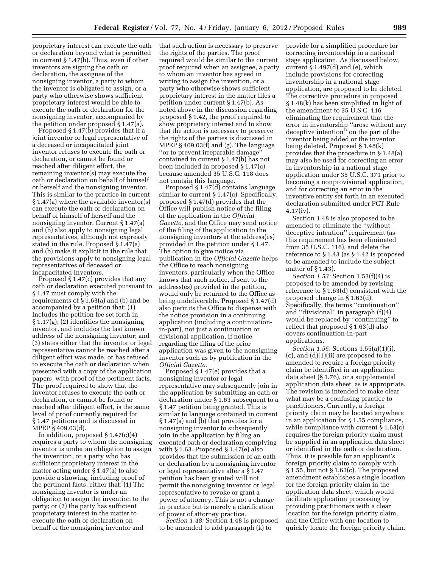proprietary interest can execute the oath or declaration beyond what is permitted in current § 1.47(b). Thus, even if other inventors are signing the oath or declaration, the assignee of the nonsigning inventor, a party to whom the inventor is obligated to assign, or a party who otherwise shows sufficient proprietary interest would be able to execute the oath or declaration for the nonsigning inventor, accompanied by the petition under proposed § 1.47(a).

Proposed  $\S 1.47(b)$  provides that if a joint inventor or legal representative of a deceased or incapacitated joint inventor refuses to execute the oath or declaration, or cannot be found or reached after diligent effort, the remaining inventor(s) may execute the oath or declaration on behalf of himself or herself and the nonsigning inventor. This is similar to the practice in current § 1.47(a) where the available inventor(s) can execute the oath or declaration on behalf of himself of herself and the nonsigning inventor. Current § 1.47(a) and (b) also apply to nonsigning legal representatives, although not expressly stated in the rule. Proposed § 1.47(a) and (b) make it explicit in the rule that the provisions apply to nonsigning legal representatives of deceased or incapacitated inventors.

Proposed § 1.47(c) provides that any oath or declaration executed pursuant to § 1.47 must comply with the requirements of § 1.63(a) and (b) and be accompanied by a petition that: (1) Includes the petition fee set forth in § 1.17(g); (2) identifies the nonsigning inventor, and includes the last known address of the nonsigning inventor; and (3) states either that the inventor or legal representative cannot be reached after a diligent effort was made, or has refused to execute the oath or declaration when presented with a copy of the application papers, with proof of the pertinent facts. The proof required to show that the inventor refuses to execute the oath or declaration, or cannot be found or reached after diligent effort, is the same level of proof currently required for § 1.47 petitions and is discussed in MPEP § 409.03(d).

In addition, proposed § 1.47(c)(4) requires a party to whom the nonsigning inventor is under an obligation to assign the invention, or a party who has sufficient proprietary interest in the matter acting under § 1.47(a) to also provide a showing, including proof of the pertinent facts, either that: (1) The nonsigning inventor is under an obligation to assign the invention to the party; or (2) the party has sufficient proprietary interest in the matter to execute the oath or declaration on behalf of the nonsigning inventor and

that such action is necessary to preserve the rights of the parties. The proof required would be similar to the current proof required when an assignee, a party to whom an inventor has agreed in writing to assign the invention, or a party who otherwise shows sufficient proprietary interest in the matter files a petition under current § 1.47(b). As noted above in the discussion regarding proposed § 1.42, the proof required to show proprietary interest and to show that the action is necessary to preserve the rights of the parties is discussed in MPEP § 409.03(f) and (g). The language ''or to prevent irreparable damage'' contained in current § 1.47(b) has not been included in proposed § 1.47(c) because amended 35 U.S.C. 118 does not contain this language.

Proposed § 1.47(d) contains language similar to current § 1.47(c). Specifically, proposed § 1.47(d) provides that the Office will publish notice of the filing of the application in the *Official Gazette,* and the Office may send notice of the filing of the application to the nonsigning inventors at the address(es) provided in the petition under § 1.47. The option to give notice via publication in the *Official Gazette* helps the Office to reach nonsigning inventors, particularly when the Office knows that such notice, if sent to the address(es) provided in the petition, would only be returned to the Office as being undeliverable. Proposed § 1.47(d) also permits the Office to dispense with the notice provision in a continuing application (including a continuationin-part), not just a continuation or divisional application, if notice regarding the filing of the prior application was given to the nonsigning inventor such as by publication in the *Official Gazette.* 

Proposed § 1.47(e) provides that a nonsigning inventor or legal representative may subsequently join in the application by submitting an oath or declaration under § 1.63 subsequent to a § 1.47 petition being granted. This is similar to language contained in current § 1.47(a) and (b) that provides for a nonsigning inventor to subsequently join in the application by filing an executed oath or declaration complying with § 1.63. Proposed § 1.47(e) also provides that the submission of an oath or declaration by a nonsigning inventor or legal representative after a § 1.47 petition has been granted will not permit the nonsigning inventor or legal representative to revoke or grant a power of attorney. This is not a change in practice but is merely a clarification of power of attorney practice.

*Section 1.48:* Section 1.48 is proposed to be amended to add paragraph (k) to

provide for a simplified procedure for correcting inventorship in a national stage application. As discussed below, current § 1.497(d) and (e), which include provisions for correcting inventorship in a national stage application, are proposed to be deleted. The corrective procedure in proposed § 1.48(k) has been simplified in light of the amendment to 35 U.S.C. 116 eliminating the requirement that the error in inventorship ''arose without any deceptive intention'' on the part of the inventor being added or the inventor being deleted. Proposed § 1.48(k) provides that the procedure in § 1.48(a) may also be used for correcting an error in inventorship in a national stage application under 35 U.S.C. 371 prior to becoming a nonprovisional application, and for correcting an error in the inventive entity set forth in an executed declaration submitted under PCT Rule 4.17(iv).

Section 1.48 is also proposed to be amended to eliminate the ''without deceptive intention'' requirement (as this requirement has been eliminated from 35 U.S.C. 116), and delete the reference to § 1.43 (as § 1.42 is proposed to be amended to include the subject matter of § 1.43).

*Section 1.53:* Section 1.53(f)(4) is proposed to be amended by revising reference to § 1.63(d) consistent with the proposed change in § 1.63(d). Specifically, the terms ''continuation'' and ''divisional'' in paragraph (f)(4) would be replaced by ''continuing'' to reflect that proposed § 1.63(d) also covers continuation-in-part applications.

*Section 1.55:* Sections 1.55(a)(1)(i), (c), and (d)(1)(ii) are proposed to be amended to require a foreign priority claim be identified in an application data sheet (§ 1.76), or a supplemental application data sheet, as is appropriate. The revision is intended to make clear what may be a confusing practice to practitioners. Currently, a foreign priority claim may be located anywhere in an application for § 1.55 compliance, while compliance with current § 1.63(c) requires the foreign priority claim must be supplied in an application data sheet or identified in the oath or declaration. Thus, it is possible for an applicant's foreign priority claim to comply with § 1.55, but not § 1.63(c). The proposed amendment establishes a single location for the foreign priority claim in the application data sheet, which would facilitate application processing by providing practitioners with a clear location for the foreign priority claim, and the Office with one location to quickly locate the foreign priority claim.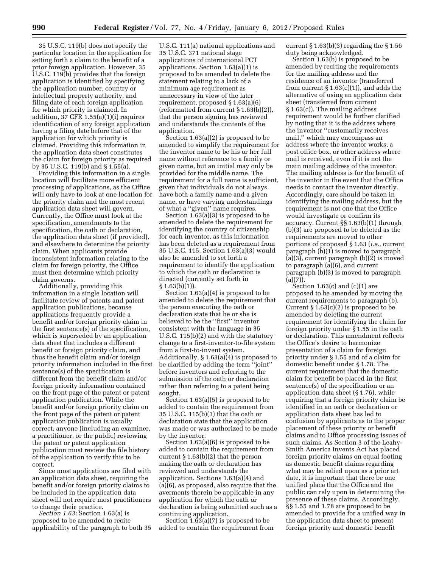35 U.S.C. 119(b) does not specify the particular location in the application for setting forth a claim to the benefit of a prior foreign application. However, 35 U.S.C. 119(b) provides that the foreign application is identified by specifying the application number, country or intellectual property authority, and filing date of each foreign application for which priority is claimed. In addition, 37 CFR 1.55(a)(1)(i) requires identification of any foreign application having a filing date before that of the application for which priority is claimed. Providing this information in the application data sheet constitutes the claim for foreign priority as required by 35 U.S.C. 119(b) and § 1.55(a).

Providing this information in a single location will facilitate more efficient processing of applications, as the Office will only have to look at one location for the priority claim and the most recent application data sheet will govern. Currently, the Office must look at the specification, amendments to the specification, the oath or declaration, the application data sheet (if provided), and elsewhere to determine the priority claim. When applicants provide inconsistent information relating to the claim for foreign priority, the Office must then determine which priority claim governs.

Additionally, providing this information in a single location will facilitate review of patents and patent application publications, because applications frequently provide a benefit and/or foreign priority claim in the first sentence(s) of the specification, which is superseded by an application data sheet that includes a different benefit or foreign priority claim, and thus the benefit claim and/or foreign priority information included in the first sentence(s) of the specification is different from the benefit claim and/or foreign priority information contained on the front page of the patent or patent application publication. While the benefit and/or foreign priority claim on the front page of the patent or patent application publication is usually correct, anyone (including an examiner, a practitioner, or the public) reviewing the patent or patent application publication must review the file history of the application to verify this to be correct.

Since most applications are filed with an application data sheet, requiring the benefit and/or foreign priority claims to be included in the application data sheet will not require most practitioners to change their practice.

*Section 1.63:* Section 1.63(a) is proposed to be amended to recite applicability of the paragraph to both 35

U.S.C. 111(a) national applications and 35 U.S.C. 371 national stage applications of international PCT applications. Section 1.63(a)(1) is proposed to be amended to delete the statement relating to a lack of a minimum age requirement as unnecessary in view of the later requirement, proposed § 1.63(a)(6) (reformatted from current § 1.63(b)(2)), that the person signing has reviewed and understands the contents of the application.

Section 1.63(a)(2) is proposed to be amended to simplify the requirement for the inventor name to be his or her full name without reference to a family or given name, but an initial may only be provided for the middle name. The requirement for a full name is sufficient, given that individuals do not always have both a family name and a given name, or have varying understandings of what a ''given'' name requires.

Section 1.63(a)(3) is proposed to be amended to delete the requirement for identifying the country of citizenship for each inventor, as this information has been deleted as a requirement from 35 U.S.C. 115. Section 1.63(a)(3) would also be amended to set forth a requirement to identify the application to which the oath or declaration is directed (currently set forth in § 1.63(b)(1)).

Section 1.63(a)(4) is proposed to be amended to delete the requirement that the person executing the oath or declaration state that he or she is believed to be the ''first'' inventor consistent with the language in 35 U.S.C. 115(b)(2) and with the statutory change to a first-inventor-to-file system from a first-to-invent system. Additionally, § 1.63(a)(4) is proposed to be clarified by adding the term ''joint'' before inventors and referring to the submission of the oath or declaration rather than referring to a patent being sought.

Section 1.63(a)(5) is proposed to be added to contain the requirement from 35 U.S.C. 115(b)(1) that the oath or declaration state that the application was made or was authorized to be made by the inventor.

Section 1.63(a)(6) is proposed to be added to contain the requirement from current  $\S 1.63(b)(2)$  that the person making the oath or declaration has reviewed and understands the application. Sections 1.63(a)(4) and (a)(6), as proposed, also require that the averments therein be applicable in any application for which the oath or declaration is being submitted such as a continuing application.

Section  $1.63(a)(7)$  is proposed to be added to contain the requirement from current  $\S 1.63(b)(3)$  regarding the  $\S 1.56$ duty being acknowledged.

Section 1.63(b) is proposed to be amended by reciting the requirements for the mailing address and the residence of an inventor (transferred from current  $\S 1.63(c)(1)$ , and adds the alternative of using an application data sheet (transferred from current § 1.63(c)). The mailing address requirement would be further clarified by noting that it is the address where the inventor ''customarily receives mail,'' which may encompass an address where the inventor works, a post office box, or other address where mail is received, even if it is not the main mailing address of the inventor. The mailing address is for the benefit of the inventor in the event that the Office needs to contact the inventor directly. Accordingly, care should be taken in identifying the mailing address, but the requirement is not one that the Office would investigate or confirm its accuracy. Current §§ 1.63(b)(1) through (b)(3) are proposed to be deleted as the requirements are moved to other portions of proposed § 1.63 (*i.e.,* current paragraph (b)(1) is moved to paragraph (a)(3), current paragraph (b)(2) is moved to paragraph (a)(6), and current paragraph (b)(3) is moved to paragraph  $(a)(7)$ ).

Section  $1.63(c)$  and  $(c)(1)$  are proposed to be amended by moving the current requirements to paragraph (b). Current  $\S 1.63(c)(2)$  is proposed to be amended by deleting the current requirement for identifying the claim for foreign priority under § 1.55 in the oath or declaration. This amendment reflects the Office's desire to harmonize presentation of a claim for foreign priority under § 1.55 and of a claim for domestic benefit under § 1.78. The current requirement that the domestic claim for benefit be placed in the first sentence(s) of the specification or an application data sheet (§ 1.76), while requiring that a foreign priority claim be identified in an oath or declaration or application data sheet has led to confusion by applicants as to the proper placement of these priority or benefit claims and to Office processing issues of such claims. As Section 3 of the Leahy-Smith America Invents Act has placed foreign priority claims on equal footing as domestic benefit claims regarding what may be relied upon as a prior art date, it is important that there be one unified place that the Office and the public can rely upon in determining the presence of these claims. Accordingly, §§ 1.55 and 1.78 are proposed to be amended to provide for a unified way in the application data sheet to present foreign priority and domestic benefit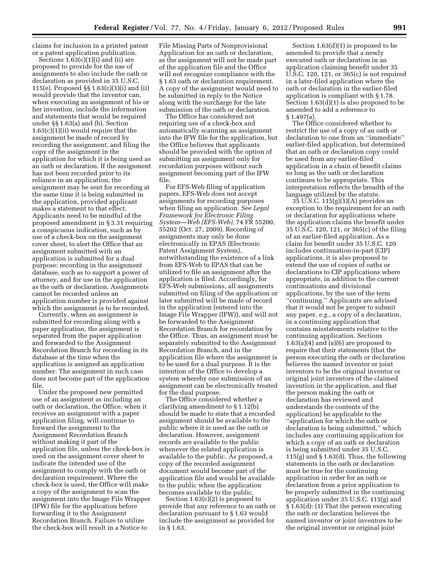claims for inclusion in a printed patent or a patent application publication.

Sections  $1.63(c)(1)(i)$  and (ii) are proposed to provide for the use of assignments to also include the oath or declaration as provided in 35 U.S.C. 115(e). Proposed §§ 1.63(c)(1)(i) and (ii) would provide that the inventor can, when executing an assignment of his or her invention, include the information and statements that would be required under §§ 1.63(a) and (b). Section 1.63(c)(1)(ii) would require that the assignment be made of record by recording the assignment, and filing the copy of the assignment in the application for which it is being used as an oath or declaration. If the assignment has not been recorded prior to its reliance in an application, the assignment may be sent for recording at the same time it is being submitted in the application, provided applicant makes a statement to that effect. Applicants need to be mindful of the proposed amendment in § 3.31 requiring a conspicuous indication, such as by use of a check-box on the assignment cover sheet, to alert the Office that an assignment submitted with an application is submitted for a dual purpose: recording in the assignment database, such as to support a power of attorney, and for use in the application as the oath or declaration. Assignments cannot be recorded unless an application number is provided against which the assignment is to be recorded.

Currently, when an assignment is submitted for recording along with a paper application, the assignment is separated from the paper application and forwarded to the Assignment Recordation Branch for recording in its database at the time when the application is assigned an application number. The assignment in such case does not become part of the application file.

Under the proposed new permitted use of an assignment as including an oath or declaration, the Office, when it receives an assignment with a paper application filing, will continue to forward the assignment to the Assignment Recordation Branch without making it part of the application file, unless the check-box is used on the assignment cover sheet to indicate the intended use of the assignment to comply with the oath or declaration requirement. Where the check-box is used, the Office will make a copy of the assignment to scan the assignment into the Image File Wrapper (IFW) file for the application before forwarding it to the Assignment Recordation Branch. Failure to utilize the check-box will result in a Notice to

File Missing Parts of Nonprovisional Application for an oath or declaration, as the assignment will not be made part of the application file and the Office will not recognize compliance with the § 1.63 oath or declaration requirement. A copy of the assignment would need to be submitted in reply to the Notice along with the surcharge for the late submission of the oath or declaration.

The Office has considered not requiring use of a check-box and automatically scanning an assignment into the IFW file for the application, but the Office believes that applicants should be provided with the option of submitting an assignment only for recordation purposes without such assignment becoming part of the IFW file.

For EFS-Web filing of application papers, EFS-Web does not accept assignments for recording purposes when filing an application. *See Legal Framework for Electronic Filing System—Web (EFS-Web),* 74 FR 55200, 55202 (Oct. 27, 2009). Recording of assignments may only be done electronically in EPAS (Electronic Patent Assignment System), notwithstanding the existence of a link from EFS-Web to EPAS that can be utilized to file an assignment after the application is filed. Accordingly, for EFS-Web submissions, all assignments submitted on filing of the application or later submitted will be made of record in the application (entered into the Image File Wrapper (IFW)), and will not be forwarded to the Assignment Recordation Branch for recordation by the Office. Thus, an assignment must be separately submitted to the Assignment Recordation Branch, and in the application file where the assignment is to be used for a dual purpose. It is the intention of the Office to develop a system whereby one submission of an assignment can be electronically treated for the dual purpose.

The Office considered whether a clarifying amendment to § 1.12(b) should be made to state that a recorded assignment should be available to the public where it is used as the oath or declaration. However, assignment records are available to the public whenever the related application is available to the public. As proposed, a copy of the recorded assignment document would become part of the application file and would be available to the public when the application becomes available to the public.

Section 1.63(c)(2) is proposed to provide that any reference to an oath or declaration pursuant to § 1.63 would include the assignment as provided for in § 1.63.

Section 1.63(d)(1) is proposed to be amended to provide that a newly executed oath or declaration in an application claiming benefit under 35 U.S.C. 120, 121, or 365(c) is not required in a later-filed application where the oath or declaration in the earlier-filed application is compliant with § 1.78. Section 1.63(d)(1) is also proposed to be amended to add a reference to § 1.497(a).

The Office considered whether to restrict the use of a copy of an oath or declaration to one from an ''immediate'' earlier-filed application, but determined that an oath or declaration copy could be used from any earlier-filed application in a chain of benefit claims so long as the oath or declaration continues to be appropriate. This interpretation reflects the breadth of the language utilized by the statute.

35 U.S.C. 115(g)(1)(A) provides an exception to the requirement for an oath or declaration for applications where the application claims the benefit under 35 U.S.C. 120, 121, or 365(c) of the filing of an earlier-filed application. As a claim for benefit under 35 U.S.C. 120 includes continuation-in-part (CIP) applications, it is also proposed to extend the use of copies of oaths or declarations to CIP applications where appropriate, in addition to the current continuations and divisional applications, by the use of the term ''continuing.'' Applicants are advised that it would not be proper to submit any paper, *e.g.,* a copy of a declaration, in a continuing application that contains misstatements relative to the continuing application. Sections 1.63(a)(4) and (a)(6) are proposed to require that their statements (that the person executing the oath or declaration believes the named inventor or joint inventors to be the original inventor or original joint inventors of the claimed invention in the application, and that the person making the oath or declaration has reviewed and understands the contents of the application) be applicable to the ''application for which the oath or declaration is being submitted,'' which includes any continuing application for which a copy of an oath or declaration is being submitted under 35 U.S.C. 115(g) and  $\S 1.63(d)$ . Thus, the following statements in the oath or declaration must be true for the continuing application in order for an oath or declaration from a prior application to be properly submitted in the continuing application under 35 U.S.C. 115(g) and § 1.63(d): (1) That the person executing the oath or declaration believes the named inventor or joint inventors to be the original inventor or original joint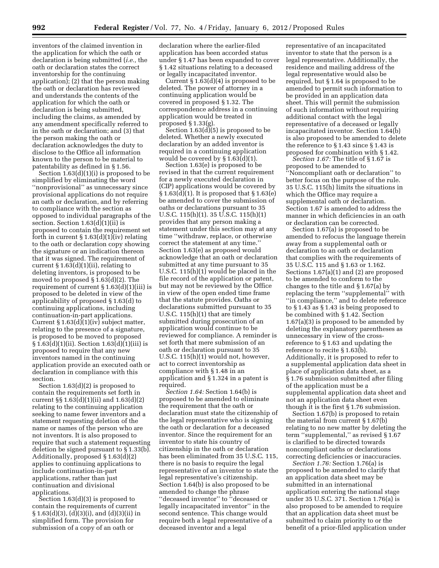inventors of the claimed invention in the application for which the oath or declaration is being submitted (*i.e.,* the oath or declaration states the correct inventorship for the continuing application); (2) that the person making the oath or declaration has reviewed and understands the contents of the application for which the oath or declaration is being submitted, including the claims, as amended by any amendment specifically referred to in the oath or declaration; and (3) that the person making the oath or declaration acknowledges the duty to disclose to the Office all information known to the person to be material to patentability as defined in § 1.56.

Section 1.63(d)(1)(i) is proposed to be simplified by eliminating the word ''nonprovisional'' as unnecessary since provisional applications do not require an oath or declaration, and by referring to compliance with the section as opposed to individual paragraphs of the section. Section 1.63(d)(1)(ii) is proposed to contain the requirement set forth in current  $\S 1.63(d)(1)(iv)$  relating to the oath or declaration copy showing the signature or an indication thereon that it was signed. The requirement of current § 1.63(d)(1)(ii), relating to deleting inventors, is proposed to be moved to proposed § 1.63(d)(2). The requirement of current § 1.63(d)(1)(iii) is proposed to be deleted in view of the applicability of proposed § 1.63(d) to continuing applications, including continuation-in-part applications. Current § 1.63(d)(1)(iv) subject matter, relating to the presence of a signature, is proposed to be moved to proposed § 1.63(d)(1)(ii). Section 1.63(d)(1)(iii) is proposed to require that any new inventors named in the continuing application provide an executed oath or declaration in compliance with this section.

Section 1.63(d)(2) is proposed to contain the requirements set forth in current  $\S\S 1.63(d)(1)(ii)$  and  $1.63(d)(2)$ relating to the continuing application seeking to name fewer inventors and a statement requesting deletion of the name or names of the person who are not inventors. It is also proposed to require that such a statement requesting deletion be signed pursuant to § 1.33(b). Additionally, proposed § 1.63(d)(2) applies to continuing applications to include continuation-in-part applications, rather than just continuation and divisional applications.

Section 1.63(d)(3) is proposed to contain the requirements of current § 1.63(d)(3), (d)(3)(i), and (d)(3)(ii) in simplified form. The provision for submission of a copy of an oath or

declaration where the earlier-filed application has been accorded status under § 1.47 has been expanded to cover § 1.42 situations relating to a deceased or legally incapacitated inventor.

Current  $\S 1.63(d)(4)$  is proposed to be deleted. The power of attorney in a continuing application would be covered in proposed § 1.32. The correspondence address in a continuing application would be treated in proposed § 1.33(g).

Section  $1.63(d)(5)$  is proposed to be deleted. Whether a newly executed declaration by an added inventor is required in a continuing application would be covered by § 1.63(d)(1).

Section 1.63(e) is proposed to be revised in that the current requirement for a newly executed declaration in (CIP) applications would be covered by § 1.63(d)(1). It is proposed that § 1.63(e) be amended to cover the submission of oaths or declarations pursuant to 35 U.S.C. 115(h)(1). 35 U.S.C. 115(h)(1) provides that any person making a statement under this section may at any time ''withdraw, replace, or otherwise correct the statement at any time.'' Section 1.63(e) as proposed would acknowledge that an oath or declaration submitted at any time pursuant to 35 U.S.C. 115(h)(1) would be placed in the file record of the application or patent, but may not be reviewed by the Office in view of the open ended time frame that the statute provides. Oaths or declarations submitted pursuant to 35 U.S.C. 115(h)(1) that are timely submitted during prosecution of an application would continue to be reviewed for compliance. A reminder is set forth that mere submission of an oath or declaration pursuant to 35 U.S.C. 115(h)(1) would not, however, act to correct inventorship as compliance with § 1.48 in an application and § 1.324 in a patent is required.

*Section 1.64:* Section 1.64(b) is proposed to be amended to eliminate the requirement that the oath or declaration must state the citizenship of the legal representative who is signing the oath or declaration for a deceased inventor. Since the requirement for an inventor to state his country of citizenship in the oath or declaration has been eliminated from 35 U.S.C. 115, there is no basis to require the legal representative of an inventor to state the legal representative's citizenship. Section 1.64(b) is also proposed to be amended to change the phrase ''deceased inventor'' to ''deceased or legally incapacitated inventor'' in the second sentence. This change would require both a legal representative of a deceased inventor and a legal

representative of an incapacitated inventor to state that the person is a legal representative. Additionally, the residence and mailing address of the legal representative would also be required, but § 1.64 is proposed to be amended to permit such information to be provided in an application data sheet. This will permit the submission of such information without requiring additional contact with the legal representative of a deceased or legally incapacitated inventor. Section 1.64(b) is also proposed to be amended to delete the reference to § 1.43 since § 1.43 is proposed for combination with § 1.42.

*Section 1.67:* The title of § 1.67 is proposed to be amended to ''Noncompliant oath or declaration'' to better focus on the purpose of the rule. 35 U.S.C. 115(h) limits the situations in which the Office may require a supplemental oath or declaration. Section 1.67 is amended to address the manner in which deficiencies in an oath or declaration can be corrected.

Section 1.67(a) is proposed to be amended to refocus the language therein away from a supplemental oath or declaration to an oath or declaration that complies with the requirements of 35 U.S.C. 115 and § 1.63 or 1.162. Sections 1.67(a)(1) and (2) are proposed to be amended to conform to the changes to the title and § 1.67(a) by replacing the term ''supplemental'' with ''in compliance,'' and to delete reference to § 1.43 as § 1.43 is being proposed to be combined with § 1.42. Section 1.67(a)(3) is proposed to be amended by deleting the explanatory parentheses as unnecessary in view of the crossreference to § 1.63 and updating the reference to recite § 1.63(b). Additionally, it is proposed to refer to a supplemental application data sheet in place of application data sheet, as a § 1.76 submission submitted after filing of the application must be a supplemental application data sheet and not an application data sheet even though it is the first § 1.76 submission.

Section 1.67(b) is proposed to retain the material from current § 1.67(b) relating to no new matter by deleting the term ''supplemental,'' as revised § 1.67 is clarified to be directed towards noncompliant oaths or declarations correcting deficiencies or inaccuracies.

*Section 1.76:* Section 1.76(a) is proposed to be amended to clarify that an application data sheet may be submitted in an international application entering the national stage under 35 U.S.C. 371. Section 1.76(a) is also proposed to be amended to require that an application data sheet must be submitted to claim priority to or the benefit of a prior-filed application under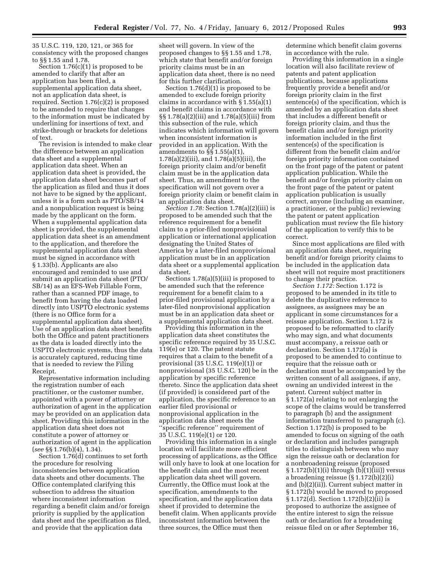35 U.S.C. 119, 120, 121, or 365 for consistency with the proposed changes to §§ 1.55 and 1.78.

Section 1.76(c)(1) is proposed to be amended to clarify that after an application has been filed, a supplemental application data sheet, not an application data sheet, is required. Section 1.76(c)(2) is proposed to be amended to require that changes to the information must be indicated by underlining for insertions of text, and strike-through or brackets for deletions of text.

The revision is intended to make clear the difference between an application data sheet and a supplemental application data sheet. When an application data sheet is provided, the application data sheet becomes part of the application as filed and thus it does not have to be signed by the applicant, unless it is a form such as PTO/SB/14 and a nonpublication request is being made by the applicant on the form. When a supplemental application data sheet is provided, the supplemental application data sheet is an amendment to the application, and therefore the supplemental application data sheet must be signed in accordance with § 1.33(b). Applicants are also encouraged and reminded to use and submit an application data sheet (PTO/ SB/14) as an EFS-Web Fillable Form, rather than a scanned PDF image, to benefit from having the data loaded directly into USPTO electronic systems (there is no Office form for a supplemental application data sheet). Use of an application data sheet benefits both the Office and patent practitioners as the data is loaded directly into the USPTO electronic systems, thus the data is accurately captured, reducing time that is needed to review the Filing Receipt.

Representative information including the registration number of each practitioner, or the customer number, appointed with a power of attorney or authorization of agent in the application may be provided on an application data sheet. Providing this information in the application data sheet does not constitute a power of attorney or authorization of agent in the application (*see* §§ 1.76(b)(4), 1.34).

Section 1.76(d) continues to set forth the procedure for resolving inconsistencies between application data sheets and other documents. The Office contemplated clarifying this subsection to address the situation where inconsistent information regarding a benefit claim and/or foreign priority is supplied by the application data sheet and the specification as filed, and provide that the application data

sheet will govern. In view of the proposed changes to §§ 1.55 and 1.78, which state that benefit and/or foreign priority claims must be in an application data sheet, there is no need for this further clarification.

Section 1.76(d)(1) is proposed to be amended to exclude foreign priority claims in accordance with § 1.55(a)(1) and benefit claims in accordance with §§ 1.78(a)(2)(iii) and 1.78(a)(5)(iii) from this subsection of the rule, which indicates which information will govern when inconsistent information is provided in an application. With the amendments to §§ 1.55(a)(1), 1.78(a)(2)(iii), and 1.78(a)(5)(iii), the foreign priority claim and/or benefit claim must be in the application data sheet. Thus, an amendment to the specification will not govern over a foreign priority claim or benefit claim in an application data sheet.

*Section 1.78:* Section 1.78(a)(2)(iii) is proposed to be amended such that the reference requirement for a benefit claim to a prior-filed nonprovisional application or international application designating the United States of America by a later-filed nonprovisional application must be in an application data sheet or a supplemental application data sheet.

Sections 1.78(a)(5)(iii) is proposed to be amended such that the reference requirement for a benefit claim to a prior-filed provisional application by a later-filed nonprovisional application must be in an application data sheet or a supplemental application data sheet.

Providing this information in the application data sheet constitutes the specific reference required by 35 U.S.C. 119(e) or 120. The patent statute requires that a claim to the benefit of a provisional (35 U.S.C. 119(e)(1)) or nonprovisional (35 U.S.C. 120) be in the application by specific reference thereto. Since the application data sheet (if provided) is considered part of the application, the specific reference to an earlier filed provisional or nonprovisional application in the application data sheet meets the ''specific reference'' requirement of 35 U.S.C. 119(e)(1) or 120.

Providing this information in a single location will facilitate more efficient processing of applications, as the Office will only have to look at one location for the benefit claim and the most recent application data sheet will govern. Currently, the Office must look at the specification, amendments to the specification, and the application data sheet if provided to determine the benefit claim. When applicants provide inconsistent information between the three sources, the Office must then

determine which benefit claim governs in accordance with the rule.

Providing this information in a single location will also facilitate review of patents and patent application publications, because applications frequently provide a benefit and/or foreign priority claim in the first sentence(s) of the specification, which is amended by an application data sheet that includes a different benefit or foreign priority claim, and thus the benefit claim and/or foreign priority information included in the first sentence(s) of the specification is different from the benefit claim and/or foreign priority information contained on the front page of the patent or patent application publication. While the benefit and/or foreign priority claim on the front page of the patent or patent application publication is usually correct, anyone (including an examiner, a practitioner, or the public) reviewing the patent or patent application publication must review the file history of the application to verify this to be correct.

Since most applications are filed with an application data sheet, requiring benefit and/or foreign priority claims to be included in the application data sheet will not require most practitioners to change their practice.

*Section 1.172:* Section 1.172 is proposed to be amended in its title to delete the duplicative reference to assignees, as assignees may be an applicant in some circumstances for a reissue application. Section 1.172 is proposed to be reformatted to clarify who may sign, and what documents must accompany, a reissue oath or declaration. Section 1.172(a) is proposed to be amended to continue to require that the reissue oath or declaration must be accompanied by the written consent of all assignees, if any, owning an undivided interest in the patent. Current subject matter in § 1.172(a) relating to not enlarging the scope of the claims would be transferred to paragraph (b) and the assignment information transferred to paragraph (c). Section 1.172(b) is proposed to be amended to focus on signing of the oath or declaration and includes paragraph titles to distinguish between who may sign the reissue oath or declaration for a nonbroadening reissue (proposed § 1.172(b)(1)(i) through (b)(1)(iii)) versus a broadening reissue (§ 1.172(b)(2)(i) and (b)(2)(ii)). Current subject matter in § 1.172(b) would be moved to proposed § 1.172(d). Section 1.172(b)(2)(ii) is proposed to authorize the assignee of the entire interest to sign the reissue oath or declaration for a broadening reissue filed on or after September 16,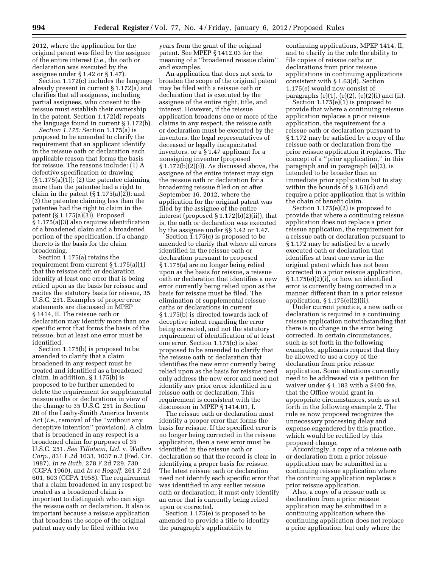2012, where the application for the original patent was filed by the assignee of the entire interest (*i.e.,* the oath or declaration was executed by the assignee under § 1.42 or § 1.47).

Section 1.172(c) includes the language already present in current § 1.172(a) and clarifies that all assignees, including partial assignees, who consent to the reissue must establish their ownership in the patent. Section 1.172(d) repeats the language found in current § 1.172(b).

*Section 1.175:* Section 1.175(a) is proposed to be amended to clarify the requirement that an applicant identify in the reissue oath or declaration each applicable reason that forms the basis for reissue. The reasons include: (1) A defective specification or drawing  $(\S 1.175(a)(1))$ ; (2) the patentee claiming more than the patentee had a right to claim in the patent (§ 1.175(a)(2)); and (3) the patentee claiming less than the patentee had the right to claim in the patent (§ 1.175(a)(3)). Proposed § 1.175(a)(3) also requires identification of a broadened claim and a broadened portion of the specification, if a change thereto is the basis for the claim broadening.

Section 1.175(a) retains the requirement from current § 1.175(a)(1) that the reissue oath or declaration identify at least one error that is being relied upon as the basis for reissue and recites the statutory basis for reissue, 35 U.S.C. 251. Examples of proper error statements are discussed in MPEP § 1414, II. The reissue oath or declaration may identify more than one specific error that forms the basis of the reissue, but at least one error must be identified.

Section 1.175(b) is proposed to be amended to clarify that a claim broadened in any respect must be treated and identified as a broadened claim. In addition, § 1.175(b) is proposed to be further amended to delete the requirement for supplemental reissue oaths or declarations in view of the change to 35 U.S.C. 251 in Section 20 of the Leahy-Smith America Invents Act (*i.e.,* removal of the ''without any deceptive intention'' provision). A claim that is broadened in any respect is a broadened claim for purposes of 35 U.S.C. 251. *See Tillotson, Ltd.* v. *Walbro Corp.,* 831 F.2d 1033, 1037 n.2 (Fed. Cir. 1987), *In re Ruth,* 278 F.2d 729, 730 (CCPA 1960), and *In re Rogoff,* 261 F.2d 601, 603 (CCPA 1958). The requirement that a claim broadened in any respect be treated as a broadened claim is important to distinguish who can sign the reissue oath or declaration. It also is important because a reissue application that broadens the scope of the original patent may only be filed within two

years from the grant of the original patent. See MPEP § 1412.03 for the meaning of a ''broadened reissue claim'' and examples.

An application that does not seek to broaden the scope of the original patent may be filed with a reissue oath or declaration that is executed by the assignee of the entire right, title, and interest. However, if the reissue application broadens one or more of the claims in any respect, the reissue oath or declaration must be executed by the inventors, the legal representatives of deceased or legally incapacitated inventors, or a § 1.47 applicant for a nonsigning inventor (proposed § 1.172(b)(2)(i)). As discussed above, the assignee of the entire interest may sign the reissue oath or declaration for a broadening reissue filed on or after September 16, 2012, where the application for the original patent was filed by the assignee of the entire interest (proposed § 1.172(b)(2)(ii)), that is, the oath or declaration was executed by the assignee under §§ 1.42 or 1.47.

Section 1.175(c) is proposed to be amended to clarify that where all errors identified in the reissue oath or declaration pursuant to proposed § 1.175(a) are no longer being relied upon as the basis for reissue, a reissue oath or declaration that identifies a new error currently being relied upon as the basis for reissue must be filed. The elimination of supplemental reissue oaths or declarations in current § 1.175(b) is directed towards lack of deceptive intent regarding the error being corrected, and not the statutory requirement of identification of at least one error. Section 1.175(c) is also proposed to be amended to clarify that the reissue oath or declaration that identifies the new error currently being relied upon as the basis for reissue need only address the new error and need not identify any prior error identified in a reissue oath or declaration. This requirement is consistent with the discussion in MPEP § 1414.01, I.

The reissue oath or declaration must identify a proper error that forms the basis for reissue. If the specified error is no longer being corrected in the reissue application, then a new error must be identified in the reissue oath or declaration so that the record is clear in identifying a proper basis for reissue. The latest reissue oath or declaration need not identify each specific error that was identified in any earlier reissue oath or declaration; it must only identify an error that is currently being relied upon or corrected.

Section 1.175(e) is proposed to be amended to provide a title to identify the paragraph's applicability to

continuing applications, MPEP 1414, II, and to clarify in the rule the ability to file copies of reissue oaths or declarations from prior reissue applications in continuing applications consistent with § 1.63(d). Section 1.175(e) would now consist of paragraphs (e)(1), (e)(2), (e)(2)(i) and (ii).

Section 1.175(e)(1) is proposed to provide that where a continuing reissue application replaces a prior reissue application, the requirement for a reissue oath or declaration pursuant to § 1.172 may be satisfied by a copy of the reissue oath or declaration from the prior reissue application it replaces. The concept of a ''prior application,'' in this paragraph and in paragraph (e)(2), is intended to be broader than an immediate prior application but to stay within the bounds of § 1.63(d) and require a prior application that is within the chain of benefit claim.

Section 1.175(e)(2) is proposed to provide that where a continuing reissue application does not replace a prior reissue application, the requirement for a reissue oath or declaration pursuant to § 1.172 may be satisfied by a newly executed oath or declaration that identifies at least one error in the original patent which has not been corrected in a prior reissue application, § 1.175(e)(2)(i), or how an identified error is currently being corrected in a manner different than in a prior reissue application, § 1.175(e)(2)(ii).

Under current practice, a new oath or declaration is required in a continuing reissue application notwithstanding that there is no change in the error being corrected. In certain circumstances, such as set forth in the following examples, applicants request that they be allowed to use a copy of the declaration from prior reissue application. Some situations currently need to be addressed via a petition for waiver under § 1.183 with a \$400 fee, that the Office would grant in appropriate circumstances, such as set forth in the following example 2. The rule as now proposed recognizes the unnecessary processing delay and expense engendered by this practice, which would be rectified by this proposed change.

Accordingly, a copy of a reissue oath or declaration from a prior reissue application may be submitted in a continuing reissue application where the continuing application replaces a prior reissue application.

Also, a copy of a reissue oath or declaration from a prior reissue application may be submitted in a continuing application where the continuing application does not replace a prior application, but only where the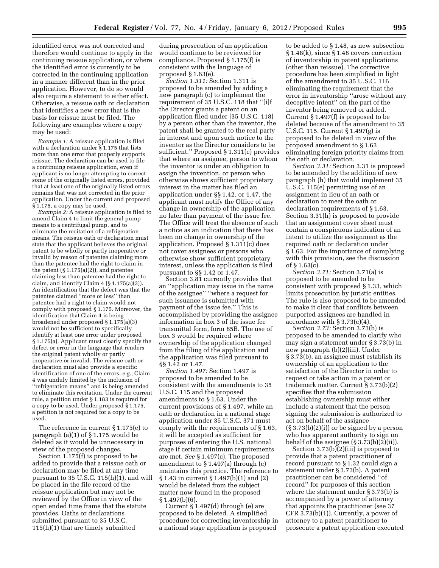identified error was not corrected and therefore would continue to apply in the continuing reissue application, or where the identified error is currently to be corrected in the continuing application in a manner different than in the prior application. However, to do so would also require a statement to either effect. Otherwise, a reissue oath or declaration that identifies a new error that is the basis for reissue must be filed. The following are examples where a copy may be used:

*Example 1:* A reissue application is filed with a declaration under § 1.175 that lists more than one error that properly supports reissue. The declaration can be used to file a continuing reissue application, even if applicant is no longer attempting to correct some of the originally listed errors, provided that at least one of the originally listed errors remains that was not corrected in the prior application. Under the current and proposed § 1.175, a copy may be used.

*Example 2:* A reissue application is filed to amend Claim 4 to limit the general pump means to a centrifugal pump, and to eliminate the recitation of a refrigeration means. The reissue oath or declaration must state that the applicant believes the original patent to be wholly or partly inoperative or invalid by reason of patentee claiming more than the patentee had the right to claim in the patent  $(\S 1.175(a)(2))$ , and patentee claiming less than patentee had the right to claim, and identify Claim 4 (§ 1.175(a)(3)). An identification that the defect was that the patentee claimed ''more or less'' than patentee had a right to claim would not comply with proposed § 1.175. Moreover, the identification that Claim 4 is being broadened under proposed § 1.175(a)(3) would not be sufficient to specifically identify at least one error under proposed § 1.175(a). Applicant must clearly specify the defect or error in the language that renders the original patent wholly or partly inoperative or invalid. The reissue oath or declaration must also provide a specific identification of one of the errors, *e.g.,* Claim 4 was unduly limited by the inclusion of ''refrigeration means'' and is being amended to eliminate this recitation. Under the current rule, a petition under § 1.183 is required for a copy to be used. Under proposed § 1.175, a petition is not required for a copy to be used.

The reference in current § 1.175(e) to paragraph (a)(1) of § 1.175 would be deleted as it would be unnecessary in view of the proposed changes.

Section 1.175(f) is proposed to be added to provide that a reissue oath or declaration may be filed at any time pursuant to 35 U.S.C. 115(h)(1), and will be placed in the file record of the reissue application but may not be reviewed by the Office in view of the open ended time frame that the statute provides. Oaths or declarations submitted pursuant to 35 U.S.C. 115(h)(1) that are timely submitted

during prosecution of an application would continue to be reviewed for compliance. Proposed § 1.175(f) is consistent with the language of proposed § 1.63(e).

*Section 1.311:* Section 1.311 is proposed to be amended by adding a new paragraph (c) to implement the requirement of 35 U.S.C. 118 that ''[i]f the Director grants a patent on an application filed under [35 U.S.C. 118] by a person other than the inventor, the patent shall be granted to the real party in interest and upon such notice to the inventor as the Director considers to be sufficient.'' Proposed § 1.311(c) provides that where an assignee, person to whom the inventor is under an obligation to assign the invention, or person who otherwise shows sufficient proprietary interest in the matter has filed an application under §§ 1.42, or 1.47, the applicant must notify the Office of any change in ownership of the application no later than payment of the issue fee. The Office will treat the absence of such a notice as an indication that there has been no change in ownership of the application. Proposed § 1.311(c) does not cover assignees or persons who otherwise show sufficient proprietary interest, unless the application is filed pursuant to §§ 1.42 or 1.47.

Section 3.81 currently provides that an ''application may issue in the name of the assignee'' ''where a request for such issuance is submitted with payment of the issue fee.'' This is accomplished by providing the assignee information in box 3 of the issue fee transmittal form, form 85B. The use of box 3 would be required where ownership of the application changed from the filing of the application and the application was filed pursuant to §§ 1.42 or 1.47.

*Section 1.497:* Section 1.497 is proposed to be amended to be consistent with the amendments to 35 U.S.C. 115 and the proposed amendments to § 1.63. Under the current provisions of § 1.497, while an oath or declaration in a national stage application under 35 U.S.C. 371 must comply with the requirements of § 1.63, it will be accepted as sufficient for purposes of entering the U.S. national stage if certain minimum requirements are met. *See* § 1.497(c). The proposed amendment to § 1.497(a) through (c) maintains this practice. The reference to § 1.43 in current § 1.497(b)(1) and (2) would be deleted from the subject matter now found in the proposed § 1.497(b)(6).

Current § 1.497(d) through (e) are proposed to be deleted. A simplified procedure for correcting inventorship in a national stage application is proposed

to be added to § 1.48, as new subsection § 1.48(k), since § 1.48 covers correction of inventorship in patent applications (other than reissue). The corrective procedure has been simplified in light of the amendment to 35 U.S.C. 116 eliminating the requirement that the error in inventorship ''arose without any deceptive intent'' on the part of the inventor being removed or added. Current § 1.497(f) is proposed to be deleted because of the amendment to 35 U.S.C. 115. Current § 1.497(g) is proposed to be deleted in view of the proposed amendment to § 1.63 eliminating foreign priority claims from the oath or declaration.

*Section 3.31:* Section 3.31 is proposed to be amended by the addition of new paragraph (h) that would implement 35 U.S.C. 115(e) permitting use of an assignment in lieu of an oath or declaration to meet the oath or declaration requirements of § 1.63. Section 3.31(h) is proposed to provide that an assignment cover sheet must contain a conspicuous indication of an intent to utilize the assignment as the required oath or declaration under § 1.63. For the importance of complying with this provision, see the discussion of § 1.63(c).

*Section 3.71:* Section 3.71(a) is proposed to be amended to be consistent with proposed § 1.33, which limits prosecution by juristic entities. The rule is also proposed to be amended to make it clear that conflicts between purported assignees are handled in accordance with § 3.73(c)(4).

*Section 3.73:* Section 3.73(b) is proposed to be amended to clarify who may sign a statement under § 3.73(b) in new paragraph (b)(2)(iii). Under § 3.73(b), an assignee must establish its ownership of an application to the satisfaction of the Director in order to request or take action in a patent or trademark matter. Current § 3.73(b)(2) specifies that the submission establishing ownership must either include a statement that the person signing the submission is authorized to act on behalf of the assignee (§ 3.73(b)(2)(i)) or be signed by a person who has apparent authority to sign on behalf of the assignee (§ 3.73(b)(2)(ii)).

Section 3.73(b)(2)(iii) is proposed to provide that a patent practitioner of record pursuant to § 1.32 could sign a statement under § 3.73(b). A patent practitioner can be considered ''of record'' for purposes of this section where the statement under § 3.73(b) is accompanied by a power of attorney that appoints the practitioner (see 37 CFR 3.73(b)(1)). Currently, a power of attorney to a patent practitioner to prosecute a patent application executed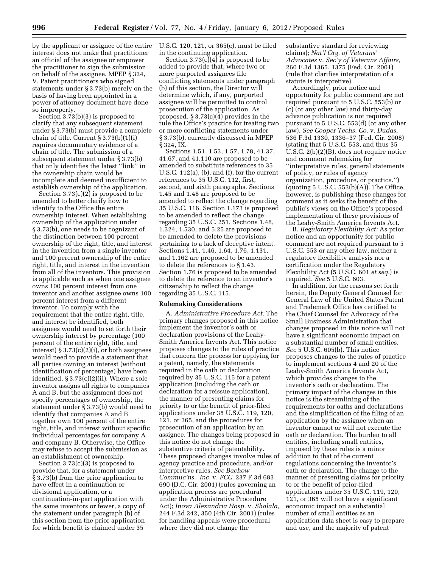by the applicant or assignee of the entire interest does not make that practitioner an official of the assignee or empower the practitioner to sign the submission on behalf of the assignee. MPEP § 324, V. Patent practitioners who signed statements under § 3.73(b) merely on the basis of having been appointed in a power of attorney document have done so improperly.

Section 3.73(b)(3) is proposed to clarify that any subsequent statement under § 3.73(b) must provide a complete chain of title. Current § 3.73(b)(1)(i) requires documentary evidence of a chain of title. The submission of a subsequent statement under § 3.73(b) that only identifies the latest ''link'' in the ownership chain would be incomplete and deemed insufficient to establish ownership of the application.

Section 3.73(c)(2) is proposed to be amended to better clarify how to identify to the Office the entire ownership interest. When establishing ownership of the application under § 3.73(b), one needs to be cognizant of the distinction between 100 percent ownership of the right, title, and interest in the invention from a single inventor and 100 percent ownership of the entire right, title, and interest in the invention from all of the inventors. This provision is applicable such as when one assignee owns 100 percent interest from one inventor and another assignee owns 100 percent interest from a different inventor. To comply with the requirement that the entire right, title, and interest be identified, both assignees would need to set forth their ownership interest by percentage (100 percent of the entire right, title, and interest) § 3.73(c)(2)(i), or both assignees would need to provide a statement that all parties owning an interest (without identification of percentage) have been identified, § 3.73(c)(2)(ii). Where a sole inventor assigns all rights to companies A and B, but the assignment does not specify percentages of ownership, the statement under § 3.73(b) would need to identify that companies A and B together own 100 percent of the entire right, title, and interest without specific individual percentages for company A and company B. Otherwise, the Office may refuse to accept the submission as an establishment of ownership.

Section 3.73(c)(3) is proposed to provide that, for a statement under § 3.73(b) from the prior application to have effect in a continuation or divisional application, or a continuation-in-part application with the same inventors or fewer, a copy of the statement under paragraph (b) of this section from the prior application for which benefit is claimed under 35

U.S.C. 120, 121, or 365(c), must be filed in the continuing application.

Section 3.73(c)(4) is proposed to be added to provide that, where two or more purported assignees file conflicting statements under paragraph (b) of this section, the Director will determine which, if any, purported assignee will be permitted to control prosecution of the application. As proposed, § 3.73(c)(4) provides in the rule the Office's practice for treating two or more conflicting statements under § 3.73(b), currently discussed in MPEP § 324, IX.

Sections 1.51, 1.53, 1.57, 1.78, 41.37, 41.67, and 41.110 are proposed to be amended to substitute references to 35 U.S.C. 112(a), (b), and (f), for the current references to 35 U.S.C. 112, first, second, and sixth paragraphs. Sections 1.45 and 1.48 are proposed to be amended to reflect the change regarding 35 U.S.C. 116. Section 1.173 is proposed to be amended to reflect the change regarding 35 U.S.C. 251. Sections 1.48, 1.324, 1.530, and 5.25 are proposed to be amended to delete the provisions pertaining to a lack of deceptive intent. Sections 1.41, 1.46, 1.64, 1.76, 1.131, and 1.162 are proposed to be amended to delete the references to § 1.43. Section 1.76 is proposed to be amended to delete the reference to an inventor's citizenship to reflect the change regarding 35 U.S.C. 115.

#### **Rulemaking Considerations**

A. *Administrative Procedure Act:* The primary changes proposed in this notice implement the inventor's oath or declaration provisions of the Leahy-Smith America Invents Act. This notice proposes changes to the rules of practice that concern the process for applying for a patent, namely, the statements required in the oath or declaration required by 35 U.S.C. 115 for a patent application (including the oath or declaration for a reissue application), the manner of presenting claims for priority to or the benefit of prior-filed applications under 35 U.S.C. 119, 120, 121, or 365, and the procedures for prosecution of an application by an assignee. The changes being proposed in this notice do not change the substantive criteria of patentability. These proposed changes involve rules of agency practice and procedure, and/or interpretive rules. *See Bachow Commuc'ns., Inc.* v. *FCC,* 237 F.3d 683, 690 (D.C. Cir. 2001) (rules governing an application process are procedural under the Administrative Procedure Act); *Inova Alexandria Hosp.* v. *Shalala,*  244 F.3d 242, 350 (4th Cir. 2001) (rules for handling appeals were procedural where they did not change the

substantive standard for reviewing claims); *Nat'l Org. of Veterans' Advocates* v. *Sec'y of Veterans Affairs,*  260 F.3d 1365, 1375 (Fed. Cir. 2001) (rule that clarifies interpretation of a statute is interpretive).

Accordingly, prior notice and opportunity for public comment are not required pursuant to 5 U.S.C. 553(b) or (c) (or any other law) and thirty-day advance publication is not required pursuant to 5 U.S.C. 553(d) (or any other law). *See Cooper Techs. Co.* v. *Dudas,*  536 F.3d 1330, 1336–37 (Fed. Cir. 2008) (stating that 5 U.S.C. 553, and thus 35 U.S.C. 2(b)(2)(B), does not require notice and comment rulemaking for ''interpretative rules, general statements of policy, or rules of agency organization, procedure, or practice.'')  $\alpha$  (quoting 5 U.S.C. 553 $\beta$ )(A)). The Office, however, is publishing these changes for comment as it seeks the benefit of the public's views on the Office's proposed implementation of these provisions of the Leahy-Smith America Invents Act.

B. *Regulatory Flexibility Act:* As prior notice and an opportunity for public comment are not required pursuant to 5 U.S.C. 553 or any other law, neither a regulatory flexibility analysis nor a certification under the Regulatory Flexibility Act (5 U.S.C. 601 *et seq.*) is required. *See* 5 U.S.C. 603.

In addition, for the reasons set forth herein, the Deputy General Counsel for General Law of the United States Patent and Trademark Office has certified to the Chief Counsel for Advocacy of the Small Business Administration that changes proposed in this notice will not have a significant economic impact on a substantial number of small entities. *See* 5 U.S.C. 605(b). This notice proposes changes to the rules of practice to implement sections 4 and 20 of the Leahy-Smith America Invents Act, which provides changes to the inventor's oath or declaration. The primary impact of the changes in this notice is the streamlining of the requirements for oaths and declarations and the simplification of the filing of an application by the assignee when an inventor cannot or will not execute the oath or declaration. The burden to all entities, including small entities, imposed by these rules is a minor addition to that of the current regulations concerning the inventor's oath or declaration. The change to the manner of presenting claims for priority to or the benefit of prior-filed applications under 35 U.S.C. 119, 120, 121, or 365 will not have a significant economic impact on a substantial number of small entities as an application data sheet is easy to prepare and use, and the majority of patent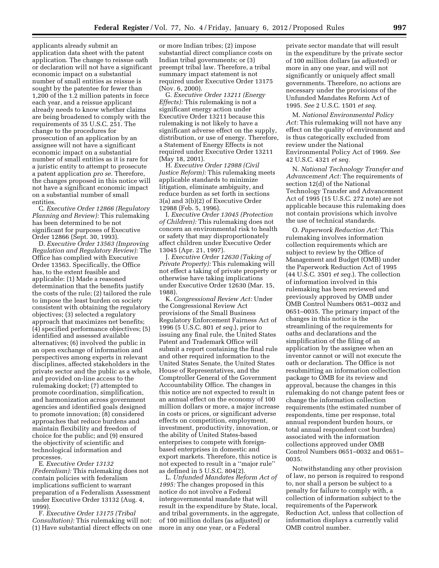applicants already submit an application data sheet with the patent application. The change to reissue oath or declaration will not have a significant economic impact on a substantial number of small entities as reissue is sought by the patentee for fewer than 1,200 of the 1.2 million patents in force each year, and a reissue applicant already needs to know whether claims are being broadened to comply with the requirements of 35 U.S.C. 251. The change to the procedures for prosecution of an application by an assignee will not have a significant economic impact on a substantial number of small entities as it is rare for a juristic entity to attempt to prosecute a patent application *pro se.* Therefore, the changes proposed in this notice will not have a significant economic impact on a substantial number of small entities.

C. *Executive Order 12866 (Regulatory Planning and Review):* This rulemaking has been determined to be not significant for purposes of Executive Order 12866 (Sept. 30, 1993).

D. *Executive Order 13563 (Improving Regulation and Regulatory Review):* The Office has complied with Executive Order 13563. Specifically, the Office has, to the extent feasible and applicable: (1) Made a reasoned determination that the benefits justify the costs of the rule; (2) tailored the rule to impose the least burden on society consistent with obtaining the regulatory objectives; (3) selected a regulatory approach that maximizes net benefits; (4) specified performance objectives; (5) identified and assessed available alternatives; (6) involved the public in an open exchange of information and perspectives among experts in relevant disciplines, affected stakeholders in the private sector and the public as a whole, and provided on-line access to the rulemaking docket; (7) attempted to promote coordination, simplification, and harmonization across government agencies and identified goals designed to promote innovation; (8) considered approaches that reduce burdens and maintain flexibility and freedom of choice for the public; and (9) ensured the objectivity of scientific and technological information and processes.

E. *Executive Order 13132 (Federalism):* This rulemaking does not contain policies with federalism implications sufficient to warrant preparation of a Federalism Assessment under Executive Order 13132 (Aug. 4, 1999).

F. *Executive Order 13175 (Tribal Consultation):* This rulemaking will not: (1) Have substantial direct effects on one

or more Indian tribes; (2) impose substantial direct compliance costs on Indian tribal governments; or (3) preempt tribal law. Therefore, a tribal summary impact statement is not required under Executive Order 13175 (Nov. 6, 2000).

G. *Executive Order 13211 (Energy Effects):* This rulemaking is not a significant energy action under Executive Order 13211 because this rulemaking is not likely to have a significant adverse effect on the supply, distribution, or use of energy. Therefore, a Statement of Energy Effects is not required under Executive Order 13211 (May 18, 2001).

H. *Executive Order 12988 (Civil Justice Reform):* This rulemaking meets applicable standards to minimize litigation, eliminate ambiguity, and reduce burden as set forth in sections 3(a) and 3(b)(2) of Executive Order 12988 (Feb. 5, 1996).

I. *Executive Order 13045 (Protection of Children):* This rulemaking does not concern an environmental risk to health or safety that may disproportionately affect children under Executive Order 13045 (Apr. 21, 1997).

J. *Executive Order 12630 (Taking of Private Property):* This rulemaking will not effect a taking of private property or otherwise have taking implications under Executive Order 12630 (Mar. 15, 1988).

K. *Congressional Review Act:* Under the Congressional Review Act provisions of the Small Business Regulatory Enforcement Fairness Act of 1996 (5 U.S.C. 801 *et seq.*), prior to issuing any final rule, the United States Patent and Trademark Office will submit a report containing the final rule and other required information to the United States Senate, the United States House of Representatives, and the Comptroller General of the Government Accountability Office. The changes in this notice are not expected to result in an annual effect on the economy of 100 million dollars or more, a major increase in costs or prices, or significant adverse effects on competition, employment, investment, productivity, innovation, or the ability of United States-based enterprises to compete with foreignbased enterprises in domestic and export markets. Therefore, this notice is not expected to result in a ''major rule'' as defined in 5 U.S.C. 804(2).

L. *Unfunded Mandates Reform Act of 1995:* The changes proposed in this notice do not involve a Federal intergovernmental mandate that will result in the expenditure by State, local, and tribal governments, in the aggregate, of 100 million dollars (as adjusted) or more in any one year, or a Federal

private sector mandate that will result in the expenditure by the private sector of 100 million dollars (as adjusted) or more in any one year, and will not significantly or uniquely affect small governments. Therefore, no actions are necessary under the provisions of the Unfunded Mandates Reform Act of 1995. *See* 2 U.S.C. 1501 *et seq.* 

M. *National Environmental Policy Act:* This rulemaking will not have any effect on the quality of environment and is thus categorically excluded from review under the National Environmental Policy Act of 1969. *See*  42 U.S.C. 4321 *et seq.* 

N. *National Technology Transfer and Advancement Act:* The requirements of section 12(d) of the National Technology Transfer and Advancement Act of 1995 (15 U.S.C. 272 note) are not applicable because this rulemaking does not contain provisions which involve the use of technical standards.

O. *Paperwork Reduction Act:* This rulemaking involves information collection requirements which are subject to review by the Office of Management and Budget (OMB) under the Paperwork Reduction Act of 1995 (44 U.S.C. 3501 *et seq.*). The collection of information involved in this rulemaking has been reviewed and previously approved by OMB under OMB Control Numbers 0651–0032 and 0651–0035. The primary impact of the changes in this notice is the streamlining of the requirements for oaths and declarations and the simplification of the filing of an application by the assignee when an inventor cannot or will not execute the oath or declaration. The Office is not resubmitting an information collection package to OMB for its review and approval, because the changes in this rulemaking do not change patent fees or change the information collection requirements (the estimated number of respondents, time per response, total annual respondent burden hours, or total annual respondent cost burden) associated with the information collections approved under OMB Control Numbers 0651–0032 and 0651– 0035.

Notwithstanding any other provision of law, no person is required to respond to, nor shall a person be subject to a penalty for failure to comply with, a collection of information subject to the requirements of the Paperwork Reduction Act, unless that collection of information displays a currently valid OMB control number.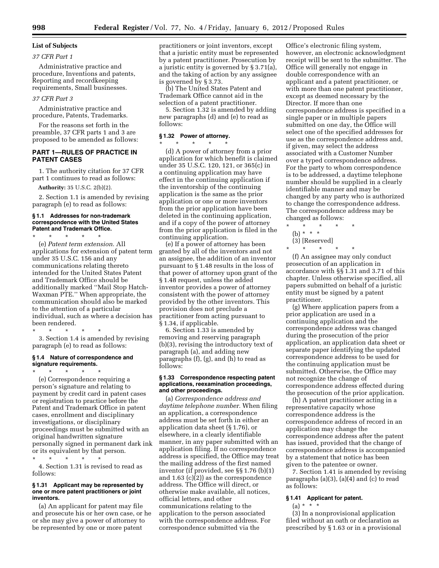# **List of Subjects**

# *37 CFR Part 1*

Administrative practice and procedure, Inventions and patents, Reporting and recordkeeping requirements, Small businesses.

#### *37 CFR Part 3*

Administrative practice and procedure, Patents, Trademarks.

For the reasons set forth in the preamble, 37 CFR parts 1 and 3 are proposed to be amended as follows:

#### **PART 1—RULES OF PRACTICE IN PATENT CASES**

1. The authority citation for 37 CFR part 1 continues to read as follows:

**Authority:** 35 U.S.C. 2(b)(2).

2. Section 1.1 is amended by revising paragraph (e) to read as follows:

#### **§ 1.1 Addresses for non-trademark correspondence with the United States Patent and Trademark Office.**

\* \* \* \* \* (e) *Patent term extension.* All applications for extension of patent term under 35 U.S.C. 156 and any communications relating thereto intended for the United States Patent and Trademark Office should be additionally marked ''Mail Stop Hatch-Waxman PTE.'' When appropriate, the communication should also be marked to the attention of a particular individual, such as where a decision has been rendered.

\* \* \* \* \*

3. Section 1.4 is amended by revising paragraph (e) to read as follows:

#### **§ 1.4 Nature of correspondence and signature requirements.**

\* \* \* \* \* (e) Correspondence requiring a person's signature and relating to payment by credit card in patent cases or registration to practice before the Patent and Trademark Office in patent cases, enrollment and disciplinary investigations, or disciplinary proceedings must be submitted with an original handwritten signature personally signed in permanent dark ink or its equivalent by that person.

\* \* \* \* \* 4. Section 1.31 is revised to read as follows:

#### **§ 1.31 Applicant may be represented by one or more patent practitioners or joint inventors.**

(a) An applicant for patent may file and prosecute his or her own case, or he or she may give a power of attorney to be represented by one or more patent

practitioners or joint inventors, except that a juristic entity must be represented by a patent practitioner. Prosecution by a juristic entity is governed by § 3.71(a), and the taking of action by any assignee is governed by § 3.73.

(b) The United States Patent and Trademark Office cannot aid in the selection of a patent practitioner.

5. Section 1.32 is amended by adding new paragraphs (d) and (e) to read as follows:

#### **§ 1.32 Power of attorney.**  \* \* \* \* \*

(d) A power of attorney from a prior application for which benefit is claimed under 35 U.S.C. 120, 121, or 365(c) in a continuing application may have effect in the continuing application if the inventorship of the continuing application is the same as the prior application or one or more inventors from the prior application have been deleted in the continuing application, and if a copy of the power of attorney from the prior application is filed in the continuing application.

(e) If a power of attorney has been granted by all of the inventors and not an assignee, the addition of an inventor pursuant to § 1.48 results in the loss of that power of attorney upon grant of the § 1.48 request, unless the added inventor provides a power of attorney consistent with the power of attorney provided by the other inventors. This provision does not preclude a practitioner from acting pursuant to § 1.34, if applicable.

6. Section 1.33 is amended by removing and reserving paragraph (b)(3), revising the introductory text of paragraph (a), and adding new paragraphs (f), (g), and (h) to read as follows:

#### **§ 1.33 Correspondence respecting patent applications, reexamination proceedings, and other proceedings.**

(a) *Correspondence address and daytime telephone number.* When filing an application, a correspondence address must be set forth in either an application data sheet (§ 1.76), or elsewhere, in a clearly identifiable manner, in any paper submitted with an application filing. If no correspondence address is specified, the Office may treat the mailing address of the first named inventor (if provided, see §§ 1.76 (b)(1) and 1.63 (c)(2)) as the correspondence address. The Office will direct, or otherwise make available, all notices, official letters, and other communications relating to the application to the person associated with the correspondence address. For correspondence submitted via the

Office's electronic filing system, however, an electronic acknowledgment receipt will be sent to the submitter. The Office will generally not engage in double correspondence with an applicant and a patent practitioner, or with more than one patent practitioner, except as deemed necessary by the Director. If more than one correspondence address is specified in a single paper or in multiple papers submitted on one day, the Office will select one of the specified addresses for use as the correspondence address and, if given, may select the address associated with a Customer Number over a typed correspondence address. For the party to whom correspondence is to be addressed, a daytime telephone number should be supplied in a clearly identifiable manner and may be changed by any party who is authorized to change the correspondence address. The correspondence address may be changed as follows:

\* \* \* \* \* (b) \* \* \* (3) [Reserved]

\* \* \* \* \*

(f) An assignee may only conduct prosecution of an application in accordance with §§ 1.31 and 3.71 of this chapter. Unless otherwise specified, all papers submitted on behalf of a juristic entity must be signed by a patent practitioner.

(g) Where application papers from a prior application are used in a continuing application and the correspondence address was changed during the prosecution of the prior application, an application data sheet or separate paper identifying the updated correspondence address to be used for the continuing application must be submitted. Otherwise, the Office may not recognize the change of correspondence address effected during the prosecution of the prior application.

(h) A patent practitioner acting in a representative capacity whose correspondence address is the correspondence address of record in an application may change the correspondence address after the patent has issued, provided that the change of correspondence address is accompanied by a statement that notice has been given to the patentee or owner.

7. Section 1.41 is amended by revising paragraphs (a)(3), (a)(4) and (c) to read as follows:

## **§ 1.41 Applicant for patent.**

# $(a) * * * *$

(3) In a nonprovisional application filed without an oath or declaration as prescribed by § 1.63 or in a provisional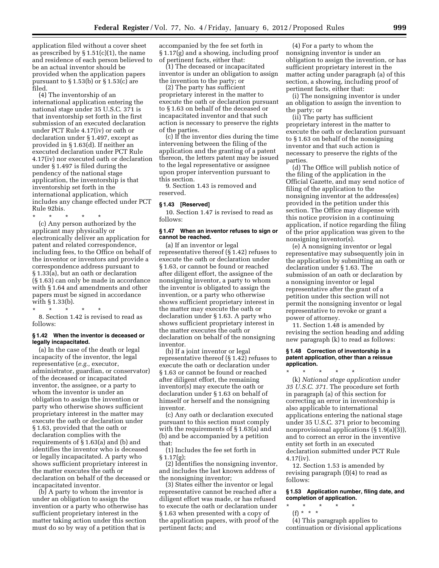application filed without a cover sheet as prescribed by  $\S 1.51(c)(1)$ , the name and residence of each person believed to be an actual inventor should be provided when the application papers pursuant to  $\S 1.53(b)$  or  $\S 1.53(c)$  are filed.

(4) The inventorship of an international application entering the national stage under 35 U.S.C. 371 is that inventorship set forth in the first submission of an executed declaration under PCT Rule 4.17(iv) or oath or declaration under § 1.497, except as provided in § 1.63(d). If neither an executed declaration under PCT Rule 4.17(iv) nor executed oath or declaration under § 1.497 is filed during the pendency of the national stage application, the inventorship is that inventorship set forth in the international application, which includes any change effected under PCT Rule 92bis.

\* \* \* \* \* (c) Any person authorized by the applicant may physically or electronically deliver an application for patent and related correspondence, including fees, to the Office on behalf of the inventor or inventors and provide a correspondence address pursuant to § 1.33(a), but an oath or declaration (§ 1.63) can only be made in accordance with § 1.64 and amendments and other papers must be signed in accordance with § 1.33(b).

\* \* \* \* \* 8. Section 1.42 is revised to read as follows:

#### **§ 1.42 When the inventor is deceased or legally incapacitated.**

(a) In the case of the death or legal incapacity of the inventor, the legal representative (*e.g.,* executor, administrator, guardian, or conservator) of the deceased or incapacitated inventor, the assignee, or a party to whom the inventor is under an obligation to assign the invention or party who otherwise shows sufficient proprietary interest in the matter may execute the oath or declaration under § 1.63, provided that the oath or declaration complies with the requirements of § 1.63(a) and (b) and identifies the inventor who is deceased or legally incapacitated. A party who shows sufficient proprietary interest in the matter executes the oath or declaration on behalf of the deceased or incapacitated inventor.

(b) A party to whom the inventor is under an obligation to assign the invention or a party who otherwise has sufficient proprietary interest in the matter taking action under this section must do so by way of a petition that is

accompanied by the fee set forth in § 1.17(g) and a showing, including proof of pertinent facts, either that:

(1) The deceased or incapacitated inventor is under an obligation to assign the invention to the party; or

(2) The party has sufficient proprietary interest in the matter to execute the oath or declaration pursuant to § 1.63 on behalf of the deceased or incapacitated inventor and that such action is necessary to preserve the rights of the parties.

(c) If the inventor dies during the time intervening between the filing of the application and the granting of a patent thereon, the letters patent may be issued to the legal representative or assignee upon proper intervention pursuant to this section.

9. Section 1.43 is removed and reserved.

#### **§ 1.43 [Reserved]**

10. Section 1.47 is revised to read as follows:

#### **§ 1.47 When an inventor refuses to sign or cannot be reached.**

(a) If an inventor or legal representative thereof (§ 1.42) refuses to execute the oath or declaration under § 1.63, or cannot be found or reached after diligent effort, the assignee of the nonsigning inventor, a party to whom the inventor is obligated to assign the invention, or a party who otherwise shows sufficient proprietary interest in the matter may execute the oath or declaration under § 1.63. A party who shows sufficient proprietary interest in the matter executes the oath or declaration on behalf of the nonsigning inventor.

(b) If a joint inventor or legal representative thereof  $(\S 1.42)$  refuses to execute the oath or declaration under § 1.63 or cannot be found or reached after diligent effort, the remaining inventor(s) may execute the oath or declaration under § 1.63 on behalf of himself or herself and the nonsigning inventor.

(c) Any oath or declaration executed pursuant to this section must comply with the requirements of § 1.63(a) and (b) and be accompanied by a petition that:

(1) Includes the fee set forth in  $§ 1.17(g);$ 

(2) Identifies the nonsigning inventor, and includes the last known address of the nonsigning inventor;

(3) States either the inventor or legal representative cannot be reached after a diligent effort was made, or has refused to execute the oath or declaration under § 1.63 when presented with a copy of the application papers, with proof of the pertinent facts; and

(4) For a party to whom the nonsigning inventor is under an obligation to assign the invention, or has sufficient proprietary interest in the matter acting under paragraph (a) of this section, a showing, including proof of pertinent facts, either that:

(i) The nonsigning inventor is under an obligation to assign the invention to the party; or

(ii) The party has sufficient proprietary interest in the matter to execute the oath or declaration pursuant to § 1.63 on behalf of the nonsigning inventor and that such action is necessary to preserve the rights of the parties.

(d) The Office will publish notice of the filing of the application in the Official Gazette, and may send notice of filing of the application to the nonsigning inventor at the address(es) provided in the petition under this section. The Office may dispense with this notice provision in a continuing application, if notice regarding the filing of the prior application was given to the nonsigning inventor(s).

(e) A nonsigning inventor or legal representative may subsequently join in the application by submitting an oath or declaration under § 1.63. The submission of an oath or declaration by a nonsigning inventor or legal representative after the grant of a petition under this section will not permit the nonsigning inventor or legal representative to revoke or grant a power of attorney.

11. Section 1.48 is amended by revising the section heading and adding new paragraph (k) to read as follows:

#### **§ 1.48 Correction of inventorship in a patent application, other than a reissue application.**

\* \* \* \* \* (k) *National stage application under 35 U.S.C. 371.* The procedure set forth in paragraph (a) of this section for correcting an error in inventorship is also applicable to international applications entering the national stage under 35 U.S.C. 371 prior to becoming nonprovisional applications (§ 1.9(a)(3)), and to correct an error in the inventive entity set forth in an executed declaration submitted under PCT Rule 4.17(iv).

12. Section 1.53 is amended by revising paragraph (f)(4) to read as follows:

#### **§ 1.53 Application number, filing date, and completion of application.**

\* \* \* \* \* (f) \* \* \*

(4) This paragraph applies to continuation or divisional applications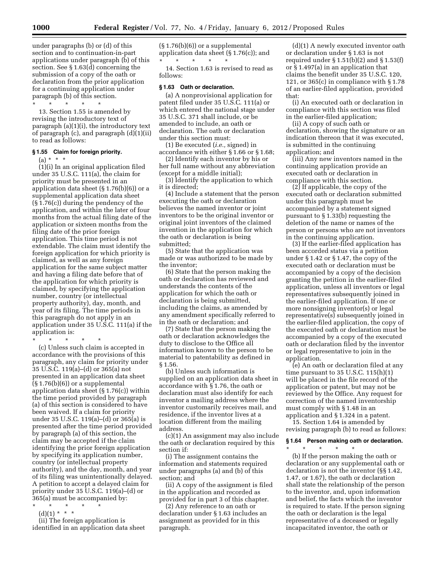under paragraphs (b) or (d) of this section and to continuation-in-part applications under paragraph (b) of this section. See § 1.63(d) concerning the submission of a copy of the oath or declaration from the prior application for a continuing application under paragraph (b) of this section.

\* \* \* \* \* 13. Section 1.55 is amended by revising the introductory text of paragraph (a)(1)(i), the introductory text of paragraph (c), and paragraph (d)(1)(ii) to read as follows:

## **§ 1.55 Claim for foreign priority.**

(a) \* \* \*

(1)(i) In an original application filed under 35 U.S.C. 111(a), the claim for priority must be presented in an application data sheet (§ 1.76(b)(6)) or a supplemental application data sheet (§ 1.76(c)) during the pendency of the application, and within the later of four months from the actual filing date of the application or sixteen months from the filing date of the prior foreign application. This time period is not extendable. The claim must identify the foreign application for which priority is claimed, as well as any foreign application for the same subject matter and having a filing date before that of the application for which priority is claimed, by specifying the application number, country (or intellectual property authority), day, month, and year of its filing. The time periods in this paragraph do not apply in an application under 35 U.S.C. 111(a) if the application is:

\* \* \* \* \*

(c) Unless such claim is accepted in accordance with the provisions of this paragraph, any claim for priority under 35 U.S.C. 119(a)–(d) or 365(a) not presented in an application data sheet  $(\S 1.76(b)(6))$  or a supplemental application data sheet (§ 1.76(c)) within the time period provided by paragraph (a) of this section is considered to have been waived. If a claim for priority under 35 U.S.C. 119(a)–(d) or 365(a) is presented after the time period provided by paragraph (a) of this section, the claim may be accepted if the claim identifying the prior foreign application by specifying its application number, country (or intellectual property authority), and the day, month, and year of its filing was unintentionally delayed. A petition to accept a delayed claim for priority under 35 U.S.C. 119(a)–(d) or 365(a) must be accompanied by:

- \* \* \* \* \*
- $(d)(1) * * * *$

(ii) The foreign application is identified in an application data sheet  $(S<sub>1.76(b)(6))</sub>$  or a supplemental application data sheet (§ 1.76(c)); and \* \* \* \* \*

14. Section 1.63 is revised to read as follows:

#### **§ 1.63 Oath or declaration.**

(a) A nonprovisional application for patent filed under 35 U.S.C. 111(a) or which entered the national stage under 35 U.S.C. 371 shall include, or be amended to include, an oath or declaration. The oath or declaration under this section must:

(1) Be executed (*i.e.,* signed) in accordance with either § 1.66 or § 1.68;

(2) Identify each inventor by his or her full name without any abbreviation (except for a middle initial);

(3) Identify the application to which it is directed;

(4) Include a statement that the person executing the oath or declaration believes the named inventor or joint inventors to be the original inventor or original joint inventors of the claimed invention in the application for which the oath or declaration is being submitted;

(5) State that the application was made or was authorized to be made by the inventor;

(6) State that the person making the oath or declaration has reviewed and understands the contents of the application for which the oath or declaration is being submitted, including the claims, as amended by any amendment specifically referred to in the oath or declaration; and

(7) State that the person making the oath or declaration acknowledges the duty to disclose to the Office all information known to the person to be material to patentability as defined in § 1.56.

(b) Unless such information is supplied on an application data sheet in accordance with § 1.76, the oath or declaration must also identify for each inventor a mailing address where the inventor customarily receives mail, and residence, if the inventor lives at a location different from the mailing address.

(c)(1) An assignment may also include the oath or declaration required by this section if:

(i) The assignment contains the information and statements required under paragraphs (a) and (b) of this section; and

(ii) A copy of the assignment is filed in the application and recorded as provided for in part 3 of this chapter.

(2) Any reference to an oath or declaration under § 1.63 includes an assignment as provided for in this paragraph.

(d)(1) A newly executed inventor oath or declaration under § 1.63 is not required under  $\S 1.51(b)(2)$  and  $\S 1.53(f)$ or § 1.497(a) in an application that claims the benefit under 35 U.S.C. 120, 121, or 365(c) in compliance with § 1.78 of an earlier-filed application, provided that:

(i) An executed oath or declaration in compliance with this section was filed in the earlier-filed application;

(ii) A copy of such oath or declaration, showing the signature or an indication thereon that it was executed, is submitted in the continuing application; and

(iii) Any new inventors named in the continuing application provide an executed oath or declaration in compliance with this section.

(2) If applicable, the copy of the executed oath or declaration submitted under this paragraph must be accompanied by a statement signed pursuant to § 1.33(b) requesting the deletion of the name or names of the person or persons who are not inventors in the continuing application.

(3) If the earlier-filed application has been accorded status via a petition under § 1.42 or § 1.47, the copy of the executed oath or declaration must be accompanied by a copy of the decision granting the petition in the earlier-filed application, unless all inventors or legal representatives subsequently joined in the earlier-filed application. If one or more nonsigning inventor(s) or legal representative(s) subsequently joined in the earlier-filed application, the copy of the executed oath or declaration must be accompanied by a copy of the executed oath or declaration filed by the inventor or legal representative to join in the application.

(e) An oath or declaration filed at any time pursuant to  $35 \text{ U.S.C. } 115 \text{ (h)}(1)$ will be placed in the file record of the application or patent, but may not be reviewed by the Office. Any request for correction of the named inventorship must comply with § 1.48 in an application and § 1.324 in a patent.

15. Section 1.64 is amended by revising paragraph (b) to read as follows:

# **§ 1.64 Person making oath or declaration.**

\* \* \* \* \* (b) If the person making the oath or declaration or any supplemental oath or declaration is not the inventor (§§ 1.42, 1.47, or 1.67), the oath or declaration shall state the relationship of the person to the inventor, and, upon information and belief, the facts which the inventor is required to state. If the person signing the oath or declaration is the legal representative of a deceased or legally incapacitated inventor, the oath or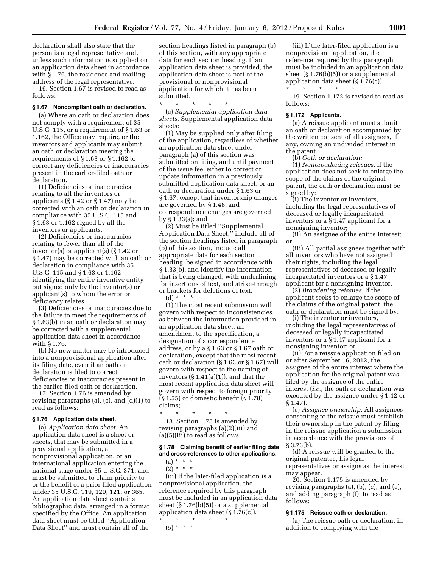declaration shall also state that the person is a legal representative and, unless such information is supplied on an application data sheet in accordance with § 1.76, the residence and mailing address of the legal representative.

16. Section 1.67 is revised to read as follows:

#### **§ 1.67 Noncompliant oath or declaration.**

(a) Where an oath or declaration does not comply with a requirement of 35 U.S.C. 115, or a requirement of § 1.63 or 1.162, the Office may require, or the inventors and applicants may submit, an oath or declaration meeting the requirements of § 1.63 or § 1.162 to correct any deficiencies or inaccuracies present in the earlier-filed oath or declaration.

(1) Deficiencies or inaccuracies relating to all the inventors or applicants (§ 1.42 or § 1.47) may be corrected with an oath or declaration in compliance with 35 U.S.C. 115 and § 1.63 or 1.162 signed by all the inventors or applicants.

(2) Deficiencies or inaccuracies relating to fewer than all of the inventor(s) or applicant(s) (§ 1.42 or § 1.47) may be corrected with an oath or declaration in compliance with 35 U.S.C. 115 and § 1.63 or 1.162 identifying the entire inventive entity but signed only by the inventor(s) or applicant(s) to whom the error or deficiency relates.

(3) Deficiencies or inaccuracies due to the failure to meet the requirements of § 1.63(b) in an oath or declaration may be corrected with a supplemental application data sheet in accordance with § 1.76.

(b) No new matter may be introduced into a nonprovisional application after its filing date, even if an oath or declaration is filed to correct deficiencies or inaccuracies present in the earlier-filed oath or declaration.

17. Section 1.76 is amended by revising paragraphs (a), (c), and (d)(1) to read as follows:

#### **§ 1.76 Application data sheet.**

(a) *Application data sheet:* An application data sheet is a sheet or sheets, that may be submitted in a provisional application, a nonprovisional application, or an international application entering the national stage under 35 U.S.C. 371, and must be submitted to claim priority to or the benefit of a prior-filed application under 35 U.S.C. 119, 120, 121, or 365. An application data sheet contains bibliographic data, arranged in a format specified by the Office. An application data sheet must be titled ''Application Data Sheet'' and must contain all of the

section headings listed in paragraph (b) of this section, with any appropriate data for each section heading. If an application data sheet is provided, the application data sheet is part of the provisional or nonprovisional application for which it has been submitted.

\* \* \* \* \* (c) *Supplemental application data sheets.* Supplemental application data sheets:

(1) May be supplied only after filing of the application, regardless of whether an application data sheet under paragraph (a) of this section was submitted on filing, and until payment of the issue fee, either to correct or update information in a previously submitted application data sheet, or an oath or declaration under § 1.63 or § 1.67, except that inventorship changes are governed by § 1.48, and correspondence changes are governed by § 1.33(a); and

(2) Must be titled ''Supplemental Application Data Sheet,'' include all of the section headings listed in paragraph (b) of this section, include all appropriate data for each section heading, be signed in accordance with § 1.33(b), and identify the information that is being changed, with underlining for insertions of text, and strike-through or brackets for deletions of text. (d) \* \* \*

(1) The most recent submission will govern with respect to inconsistencies as between the information provided in an application data sheet, an amendment to the specification, a designation of a correspondence address, or by a § 1.63 or § 1.67 oath or declaration, except that the most recent oath or declaration (§ 1.63 or § 1.67) will govern with respect to the naming of inventors  $(\S 1.41(a)(1))$ , and that the most recent application data sheet will govern with respect to foreign priority (§ 1.55) or domestic benefit (§ 1.78) claims;

\* \* \* \* \* 18. Section 1.78 is amended by revising paragraphs (a)(2)(iii) and (a)(5)(iii) to read as follows:

#### **§ 1.78 Claiming benefit of earlier filing date and cross-references to other applications.**

 $(a) * * * *$ 

 $(2) * * * *$ 

(iii) If the later-filed application is a nonprovisional application, the reference required by this paragraph must be included in an application data sheet  $(\S 1.76(b)(5))$  or a supplemental application data sheet  $(\S 1.76(c))$ . \* \* \* \* \*

(5) \* \* \*

(iii) If the later-filed application is a nonprovisional application, the reference required by this paragraph must be included in an application data sheet (§ 1.76(b)(5)) or a supplemental application data sheet (§ 1.76(c)).

\* \* \* \* \* 19. Section 1.172 is revised to read as follows:

#### **§ 1.172 Applicants.**

(a) A reissue applicant must submit an oath or declaration accompanied by the written consent of all assignees, if any, owning an undivided interest in the patent.

(b) *Oath or declaration:* 

(1) *Nonbroadening reissues:* If the application does not seek to enlarge the scope of the claims of the original patent, the oath or declaration must be signed by:

(i) The inventor or inventors, including the legal representatives of deceased or legally incapacitated inventors or a § 1.47 applicant for a nonsigning inventor;

(ii) An assignee of the entire interest; or

(iii) All partial assignees together with all inventors who have not assigned their rights, including the legal representatives of deceased or legally incapacitated inventors or a § 1.47 applicant for a nonsigning inventor.

(2) *Broadening reissues:* If the applicant seeks to enlarge the scope of the claims of the original patent, the oath or declaration must be signed by:

(i) The inventor or inventors, including the legal representatives of deceased or legally incapacitated inventors or a § 1.47 applicant for a nonsigning inventor; or

(ii) For a reissue application filed on or after September 16, 2012, the assignee of the entire interest where the application for the original patent was filed by the assignee of the entire interest (*i.e.,* the oath or declaration was executed by the assignee under § 1.42 or § 1.47).

(c) *Assignee ownership:* All assignees consenting to the reissue must establish their ownership in the patent by filing in the reissue application a submission in accordance with the provisions of § 3.73(b).

(d) A reissue will be granted to the original patentee, his legal representatives or assigns as the interest may appear.

20. Section 1.175 is amended by revising paragraphs (a), (b), (c), and (e), and adding paragraph (f), to read as follows:

#### **§ 1.175 Reissue oath or declaration.**

(a) The reissue oath or declaration, in addition to complying with the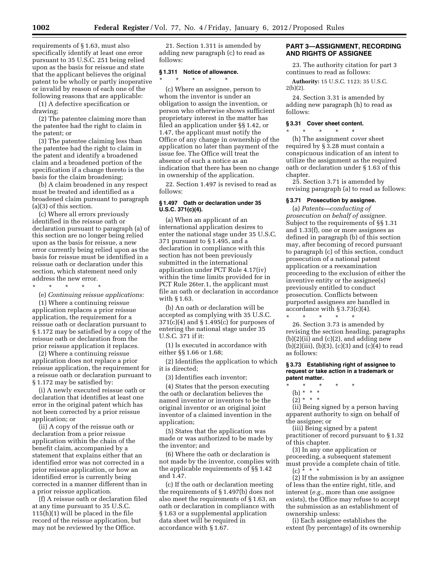requirements of § 1.63, must also specifically identify at least one error pursuant to 35 U.S.C. 251 being relied upon as the basis for reissue and state that the applicant believes the original patent to be wholly or partly inoperative or invalid by reason of each one of the following reasons that are applicable:

(1) A defective specification or drawing;

(2) The patentee claiming more than the patentee had the right to claim in the patent; or

(3) The patentee claiming less than the patentee had the right to claim in the patent and identify a broadened claim and a broadened portion of the specification if a change thereto is the basis for the claim broadening;

(b) A claim broadened in any respect must be treated and identified as a broadened claim pursuant to paragraph (a)(3) of this section.

(c) Where all errors previously identified in the reissue oath or declaration pursuant to paragraph (a) of this section are no longer being relied upon as the basis for reissue, a new error currently being relied upon as the basis for reissue must be identified in a reissue oath or declaration under this section, which statement need only address the new error.

\* \* \* \* \*

(e) *Continuing reissue applications:*  (1) Where a continuing reissue application replaces a prior reissue application, the requirement for a reissue oath or declaration pursuant to § 1.172 may be satisfied by a copy of the reissue oath or declaration from the prior reissue application it replaces.

(2) Where a continuing reissue application does not replace a prior reissue application, the requirement for a reissue oath or declaration pursuant to § 1.172 may be satisfied by:

(i) A newly executed reissue oath or declaration that identifies at least one error in the original patent which has not been corrected by a prior reissue application; or

(ii) A copy of the reissue oath or declaration from a prior reissue application within the chain of the benefit claim, accompanied by a statement that explains either that an identified error was not corrected in a prior reissue application, or how an identified error is currently being corrected in a manner different than in a prior reissue application.

(f) A reissue oath or declaration filed at any time pursuant to 35 U.S.C. 115(h)(1) will be placed in the file record of the reissue application, but may not be reviewed by the Office.

21. Section 1.311 is amended by adding new paragraph (c) to read as follows:

# **§ 1.311 Notice of allowance.**  \* \* \* \* \*

(c) Where an assignee, person to whom the inventor is under an obligation to assign the invention, or person who otherwise shows sufficient proprietary interest in the matter has filed an application under §§ 1.42, or 1.47, the applicant must notify the Office of any change in ownership of the application no later than payment of the issue fee. The Office will treat the absence of such a notice as an indication that there has been no change in ownership of the application.

22. Section 1.497 is revised to read as follows:

#### **§ 1.497 Oath or declaration under 35 U.S.C. 371(c)(4).**

(a) When an applicant of an international application desires to enter the national stage under 35 U.S.C. 371 pursuant to § 1.495, and a declaration in compliance with this section has not been previously submitted in the international application under PCT Rule 4.17(iv) within the time limits provided for in PCT Rule 26ter.1, the applicant must file an oath or declaration in accordance with § 1.63.

(b) An oath or declaration will be accepted as complying with 35 U.S.C.  $371(c)(4)$  and §  $1.495(c)$  for purposes of entering the national stage under 35 U.S.C. 371 if it:

(1) Is executed in accordance with either §§ 1.66 or 1.68;

(2) Identifies the application to which it is directed;

(3) Identifies each inventor;

(4) States that the person executing the oath or declaration believes the named inventor or inventors to be the original inventor or an original joint inventor of a claimed invention in the application;

(5) States that the application was made or was authorized to be made by the inventor; and

(6) Where the oath or declaration is not made by the inventor, complies with the applicable requirements of §§ 1.42 and 1.47.

(c) If the oath or declaration meeting the requirements of § 1.497(b) does not also meet the requirements of § 1.63, an oath or declaration in compliance with § 1.63 or a supplemental application data sheet will be required in accordance with § 1.67.

#### **PART 3—ASSIGNMENT, RECORDING AND RIGHTS OF ASSIGNEE**

23. The authority citation for part 3 continues to read as follows:

**Authority:** 15 U.S.C. 1123; 35 U.S.C.  $2(b)(2)$ .

24. Section 3.31 is amended by adding new paragraph (h) to read as follows:

#### **§ 3.31 Cover sheet content.**

\* \* \* \* \* (h) The assignment cover sheet required by § 3.28 must contain a conspicuous indication of an intent to utilize the assignment as the required oath or declaration under § 1.63 of this chapter.

25. Section 3.71 is amended by revising paragraph (a) to read as follows:

# **§ 3.71 Prosecution by assignee.**

(a) *Patents—conducting of prosecution on behalf of assignee.*  Subject to the requirements of §§ 1.31 and 1.33(f), one or more assignees as defined in paragraph (b) of this section may, after becoming of record pursuant to paragraph (c) of this section, conduct prosecution of a national patent application or a reexamination proceeding to the exclusion of either the inventive entity or the assignee(s) previously entitled to conduct prosecution. Conflicts between purported assignees are handled in accordance with § 3.73(c)(4).

\* \* \* \* \* 26. Section 3.73 is amended by revising the section heading, paragraphs  $(b)(2)(ii)$  and  $(c)(2)$ , and adding new  $(b)(2)(iii), (b)(3), (c)(3)$  and  $(c)(4)$  to read as follows:

**§ 3.73 Establishing right of assignee to request or take action in a trademark or patent matter.** 

- (b) \* \* \*
- $(2)^* * * *$

(ii) Being signed by a person having apparent authority to sign on behalf of the assignee; or

(iii) Being signed by a patent practitioner of record pursuant to § 1.32 of this chapter.

(3) In any one application or proceeding, a subsequent statement must provide a complete chain of title.  $(c) * * * *$ 

(2) If the submission is by an assignee of less than the entire right, title, and interest (*e.g.,* more than one assignee exists), the Office may refuse to accept the submission as an establishment of ownership unless:

(i) Each assignee establishes the extent (by percentage) of its ownership

<sup>\* \* \* \* \*</sup>